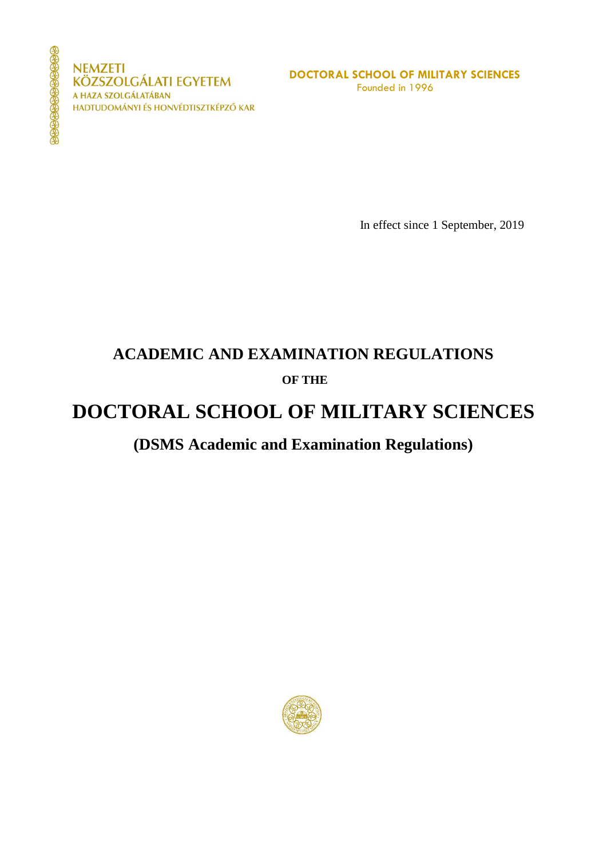**NEMZETI KÖZSZOLGÁLATI EGYETEM** A HAZA SZOLGÁLATÁBAN HADTUDOMÁNYI ÉS HONVÉDTISZTKÉPZŐ KAR

In effect since 1 September, 2019

## **ACADEMIC AND EXAMINATION REGULATIONS OF THE**

### **DOCTORAL SCHOOL OF MILITARY SCIENCES**

### **(DSMS Academic and Examination Regulations)**

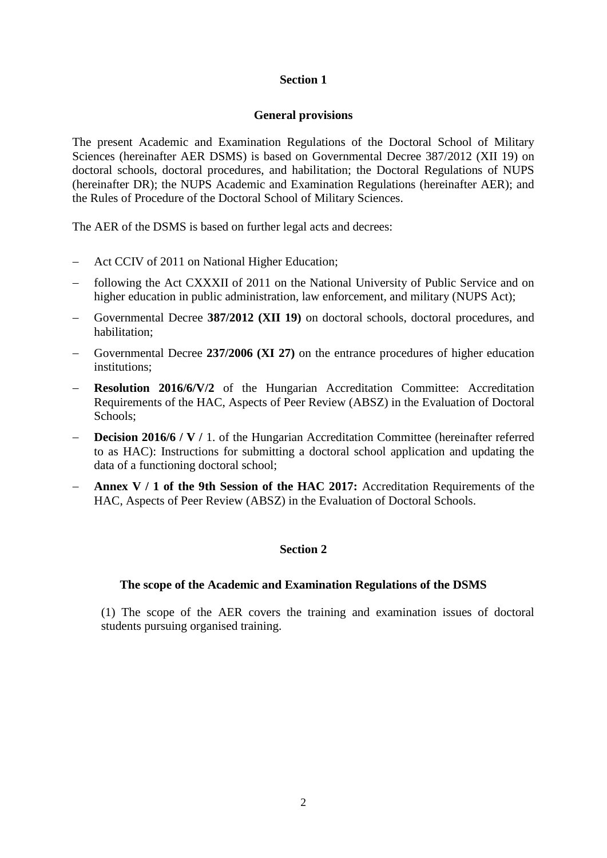### **General provisions**

The present Academic and Examination Regulations of the Doctoral School of Military Sciences (hereinafter AER DSMS) is based on Governmental Decree 387/2012 (XII 19) on doctoral schools, doctoral procedures, and habilitation; the Doctoral Regulations of NUPS (hereinafter DR); the NUPS Academic and Examination Regulations (hereinafter AER); and the Rules of Procedure of the Doctoral School of Military Sciences.

The AER of the DSMS is based on further legal acts and decrees:

- Act CCIV of 2011 on National Higher Education;
- following the Act CXXXII of 2011 on the National University of Public Service and on higher education in public administration, law enforcement, and military (NUPS Act);
- Governmental Decree **387/2012 (XII 19)** on doctoral schools, doctoral procedures, and habilitation;
- Governmental Decree **237/2006 (XI 27)** on the entrance procedures of higher education institutions;
- **Resolution 2016/6/V/2** of the Hungarian Accreditation Committee: Accreditation Requirements of the HAC, Aspects of Peer Review (ABSZ) in the Evaluation of Doctoral Schools;
- **Decision 2016/6 / V / 1.** of the Hungarian Accreditation Committee (hereinafter referred to as HAC): Instructions for submitting a doctoral school application and updating the data of a functioning doctoral school;
- **Annex V / 1 of the 9th Session of the HAC 2017:** Accreditation Requirements of the HAC, Aspects of Peer Review (ABSZ) in the Evaluation of Doctoral Schools.

### **Section 2**

### **The scope of the Academic and Examination Regulations of the DSMS**

(1) The scope of the AER covers the training and examination issues of doctoral students pursuing organised training.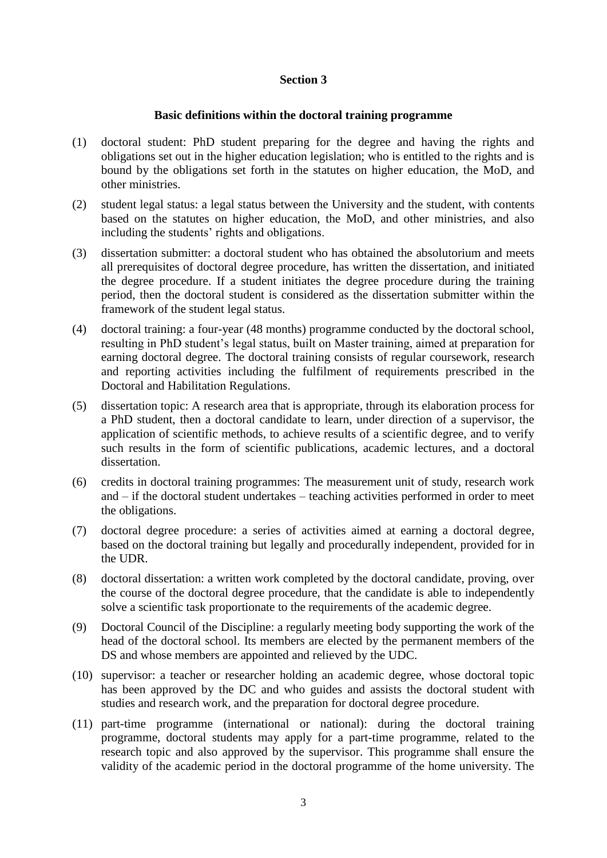### **Basic definitions within the doctoral training programme**

- (1) doctoral student: PhD student preparing for the degree and having the rights and obligations set out in the higher education legislation; who is entitled to the rights and is bound by the obligations set forth in the statutes on higher education, the MoD, and other ministries.
- (2) student legal status: a legal status between the University and the student, with contents based on the statutes on higher education, the MoD, and other ministries, and also including the students' rights and obligations.
- (3) dissertation submitter: a doctoral student who has obtained the absolutorium and meets all prerequisites of doctoral degree procedure, has written the dissertation, and initiated the degree procedure. If a student initiates the degree procedure during the training period, then the doctoral student is considered as the dissertation submitter within the framework of the student legal status.
- (4) doctoral training: a four-year (48 months) programme conducted by the doctoral school, resulting in PhD student's legal status, built on Master training, aimed at preparation for earning doctoral degree. The doctoral training consists of regular coursework, research and reporting activities including the fulfilment of requirements prescribed in the Doctoral and Habilitation Regulations.
- (5) dissertation topic: A research area that is appropriate, through its elaboration process for a PhD student, then a doctoral candidate to learn, under direction of a supervisor, the application of scientific methods, to achieve results of a scientific degree, and to verify such results in the form of scientific publications, academic lectures, and a doctoral dissertation.
- (6) credits in doctoral training programmes: The measurement unit of study, research work and – if the doctoral student undertakes – teaching activities performed in order to meet the obligations.
- (7) doctoral degree procedure: a series of activities aimed at earning a doctoral degree, based on the doctoral training but legally and procedurally independent, provided for in the UDR.
- (8) doctoral dissertation: a written work completed by the doctoral candidate, proving, over the course of the doctoral degree procedure, that the candidate is able to independently solve a scientific task proportionate to the requirements of the academic degree.
- (9) Doctoral Council of the Discipline: a regularly meeting body supporting the work of the head of the doctoral school. Its members are elected by the permanent members of the DS and whose members are appointed and relieved by the UDC.
- (10) supervisor: a teacher or researcher holding an academic degree, whose doctoral topic has been approved by the DC and who guides and assists the doctoral student with studies and research work, and the preparation for doctoral degree procedure.
- (11) part-time programme (international or national): during the doctoral training programme, doctoral students may apply for a part-time programme, related to the research topic and also approved by the supervisor. This programme shall ensure the validity of the academic period in the doctoral programme of the home university. The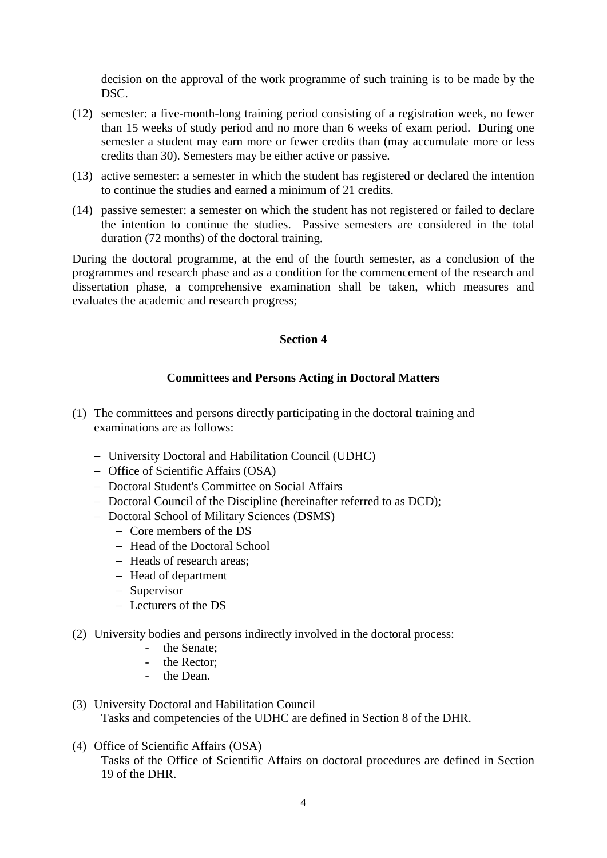decision on the approval of the work programme of such training is to be made by the DSC.

- (12) semester: a five-month-long training period consisting of a registration week, no fewer than 15 weeks of study period and no more than 6 weeks of exam period. During one semester a student may earn more or fewer credits than (may accumulate more or less credits than 30). Semesters may be either active or passive.
- (13) active semester: a semester in which the student has registered or declared the intention to continue the studies and earned a minimum of 21 credits.
- (14) passive semester: a semester on which the student has not registered or failed to declare the intention to continue the studies. Passive semesters are considered in the total duration (72 months) of the doctoral training.

During the doctoral programme, at the end of the fourth semester, as a conclusion of the programmes and research phase and as a condition for the commencement of the research and dissertation phase, a comprehensive examination shall be taken, which measures and evaluates the academic and research progress;

### **Section 4**

### **Committees and Persons Acting in Doctoral Matters**

- (1) The committees and persons directly participating in the doctoral training and examinations are as follows:
	- University Doctoral and Habilitation Council (UDHC)
	- Office of Scientific Affairs (OSA)
	- Doctoral Student's Committee on Social Affairs
	- Doctoral Council of the Discipline (hereinafter referred to as DCD);
	- Doctoral School of Military Sciences (DSMS)
		- Core members of the DS
		- Head of the Doctoral School
		- Heads of research areas:
		- Head of department
		- Supervisor
		- Lecturers of the DS
- (2) University bodies and persons indirectly involved in the doctoral process:
	- the Senate;
	- the Rector;
	- the Dean.
- (3) University Doctoral and Habilitation Council Tasks and competencies of the UDHC are defined in Section 8 of the DHR.
- (4) Office of Scientific Affairs (OSA) Tasks of the Office of Scientific Affairs on doctoral procedures are defined in Section 19 of the DHR.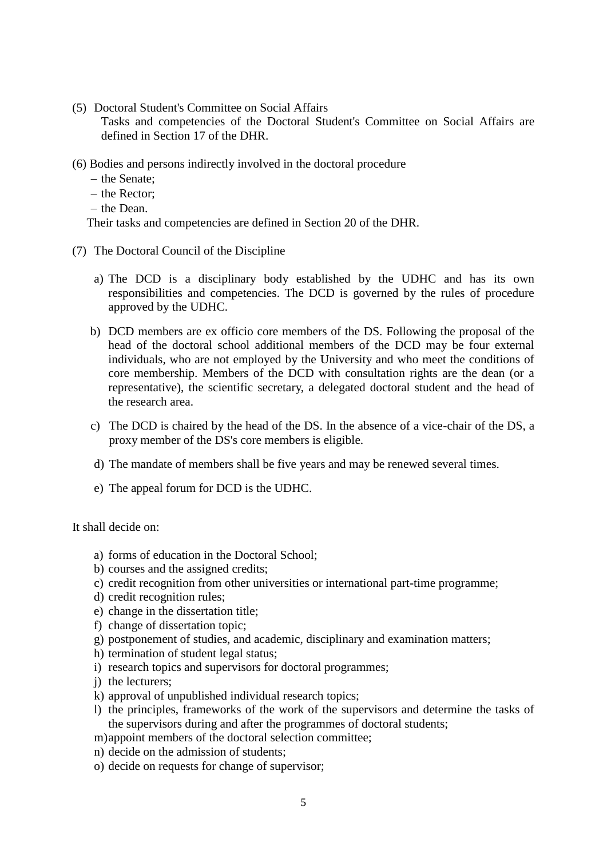(5) Doctoral Student's Committee on Social Affairs

Tasks and competencies of the Doctoral Student's Committee on Social Affairs are defined in Section 17 of the DHR.

- (6) Bodies and persons indirectly involved in the doctoral procedure
	- $-$  the Senate:
	- $-$  the Rector;
	- $-$  the Dean.

Their tasks and competencies are defined in Section 20 of the DHR.

- (7) The Doctoral Council of the Discipline
	- a) The DCD is a disciplinary body established by the UDHC and has its own responsibilities and competencies. The DCD is governed by the rules of procedure approved by the UDHC.
	- b) DCD members are ex officio core members of the DS. Following the proposal of the head of the doctoral school additional members of the DCD may be four external individuals, who are not employed by the University and who meet the conditions of core membership. Members of the DCD with consultation rights are the dean (or a representative), the scientific secretary, a delegated doctoral student and the head of the research area.
	- c) The DCD is chaired by the head of the DS. In the absence of a vice-chair of the DS, a proxy member of the DS's core members is eligible.
	- d) The mandate of members shall be five years and may be renewed several times.
	- e) The appeal forum for DCD is the UDHC.

It shall decide on:

- a) forms of education in the Doctoral School;
- b) courses and the assigned credits;
- c) credit recognition from other universities or international part-time programme;
- d) credit recognition rules;
- e) change in the dissertation title;
- f) change of dissertation topic;
- g) postponement of studies, and academic, disciplinary and examination matters;
- h) termination of student legal status;
- i) research topics and supervisors for doctoral programmes;
- j) the lecturers;
- k) approval of unpublished individual research topics;
- l) the principles, frameworks of the work of the supervisors and determine the tasks of the supervisors during and after the programmes of doctoral students;
- m)appoint members of the doctoral selection committee;
- n) decide on the admission of students;
- o) decide on requests for change of supervisor;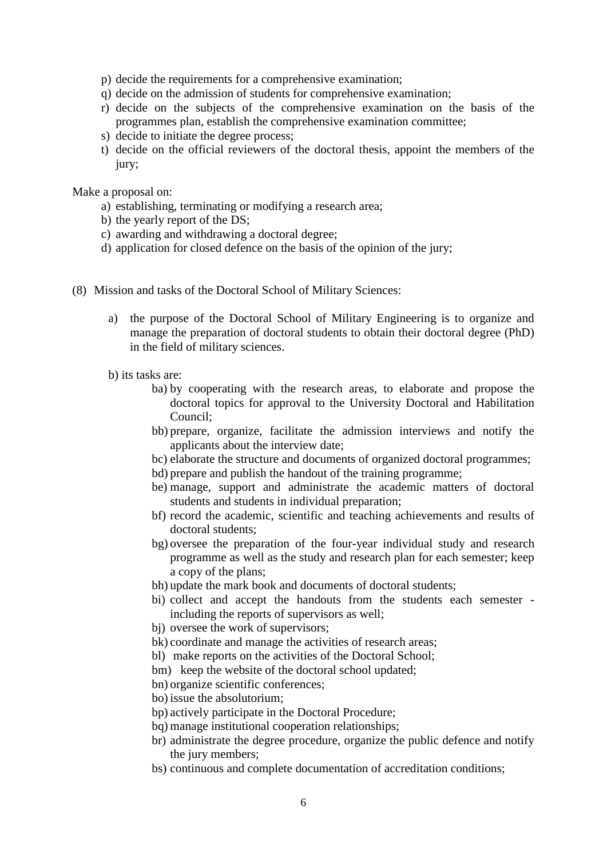- p) decide the requirements for a comprehensive examination;
- q) decide on the admission of students for comprehensive examination;
- r) decide on the subjects of the comprehensive examination on the basis of the programmes plan, establish the comprehensive examination committee;
- s) decide to initiate the degree process;
- t) decide on the official reviewers of the doctoral thesis, appoint the members of the jury;

Make a proposal on:

- a) establishing, terminating or modifying a research area;
- b) the yearly report of the DS;
- c) awarding and withdrawing a doctoral degree;
- d) application for closed defence on the basis of the opinion of the jury;
- (8) Mission and tasks of the Doctoral School of Military Sciences:
	- a) the purpose of the Doctoral School of Military Engineering is to organize and manage the preparation of doctoral students to obtain their doctoral degree (PhD) in the field of military sciences.
	- b) its tasks are:
		- ba) by cooperating with the research areas, to elaborate and propose the doctoral topics for approval to the University Doctoral and Habilitation Council;
		- bb) prepare, organize, facilitate the admission interviews and notify the applicants about the interview date;
		- bc) elaborate the structure and documents of organized doctoral programmes;
		- bd) prepare and publish the handout of the training programme;
		- be) manage, support and administrate the academic matters of doctoral students and students in individual preparation;
		- bf) record the academic, scientific and teaching achievements and results of doctoral students;
		- bg) oversee the preparation of the four-year individual study and research programme as well as the study and research plan for each semester; keep a copy of the plans;
		- bh) update the mark book and documents of doctoral students;
		- bi) collect and accept the handouts from the students each semester including the reports of supervisors as well;
		- bj) oversee the work of supervisors;
		- bk) coordinate and manage the activities of research areas;
		- bl) make reports on the activities of the Doctoral School;
		- bm) keep the website of the doctoral school updated;
		- bn) organize scientific conferences;
		- bo) issue the absolutorium;
		- bp) actively participate in the Doctoral Procedure;
		- bq) manage institutional cooperation relationships;
		- br) administrate the degree procedure, organize the public defence and notify the jury members;
		- bs) continuous and complete documentation of accreditation conditions;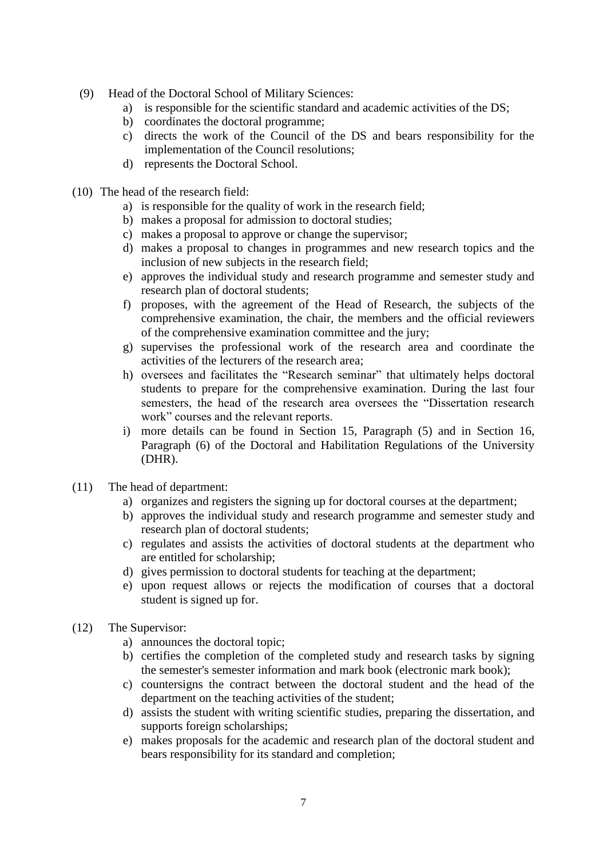- (9) Head of the Doctoral School of Military Sciences:
	- a) is responsible for the scientific standard and academic activities of the DS;
	- b) coordinates the doctoral programme;
	- c) directs the work of the Council of the DS and bears responsibility for the implementation of the Council resolutions;
	- d) represents the Doctoral School.
- (10) The head of the research field:
	- a) is responsible for the quality of work in the research field;
	- b) makes a proposal for admission to doctoral studies;
	- c) makes a proposal to approve or change the supervisor;
	- d) makes a proposal to changes in programmes and new research topics and the inclusion of new subjects in the research field;
	- e) approves the individual study and research programme and semester study and research plan of doctoral students;
	- f) proposes, with the agreement of the Head of Research, the subjects of the comprehensive examination, the chair, the members and the official reviewers of the comprehensive examination committee and the jury;
	- g) supervises the professional work of the research area and coordinate the activities of the lecturers of the research area;
	- h) oversees and facilitates the "Research seminar" that ultimately helps doctoral students to prepare for the comprehensive examination. During the last four semesters, the head of the research area oversees the "Dissertation research work" courses and the relevant reports.
	- i) more details can be found in Section 15, Paragraph (5) and in Section 16, Paragraph (6) of the Doctoral and Habilitation Regulations of the University (DHR).
- (11) The head of department:
	- a) organizes and registers the signing up for doctoral courses at the department;
	- b) approves the individual study and research programme and semester study and research plan of doctoral students;
	- c) regulates and assists the activities of doctoral students at the department who are entitled for scholarship;
	- d) gives permission to doctoral students for teaching at the department;
	- e) upon request allows or rejects the modification of courses that a doctoral student is signed up for.
- (12) The Supervisor:
	- a) announces the doctoral topic;
	- b) certifies the completion of the completed study and research tasks by signing the semester's semester information and mark book (electronic mark book);
	- c) countersigns the contract between the doctoral student and the head of the department on the teaching activities of the student;
	- d) assists the student with writing scientific studies, preparing the dissertation, and supports foreign scholarships;
	- e) makes proposals for the academic and research plan of the doctoral student and bears responsibility for its standard and completion;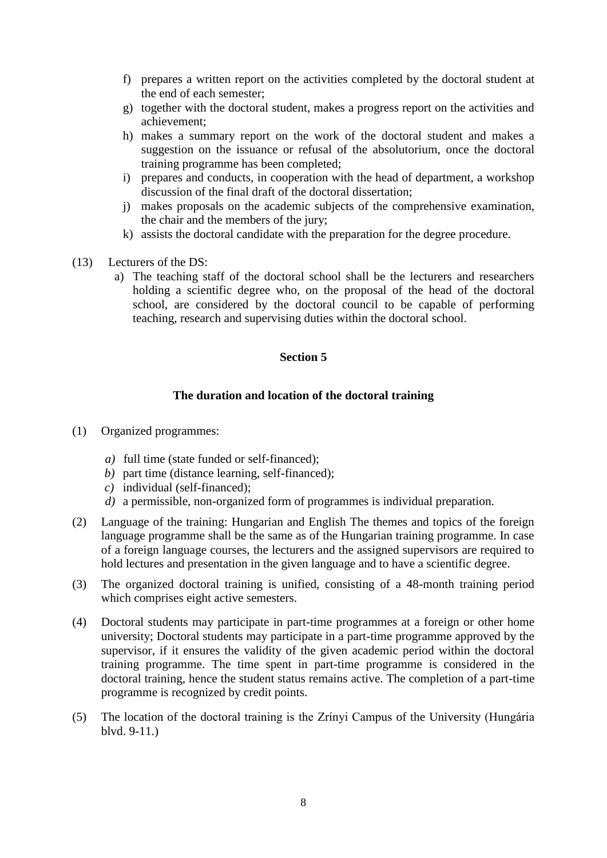- f) prepares a written report on the activities completed by the doctoral student at the end of each semester;
- g) together with the doctoral student, makes a progress report on the activities and achievement;
- h) makes a summary report on the work of the doctoral student and makes a suggestion on the issuance or refusal of the absolutorium, once the doctoral training programme has been completed;
- i) prepares and conducts, in cooperation with the head of department, a workshop discussion of the final draft of the doctoral dissertation;
- j) makes proposals on the academic subjects of the comprehensive examination, the chair and the members of the jury;
- k) assists the doctoral candidate with the preparation for the degree procedure.
- (13) Lecturers of the DS:
	- a) The teaching staff of the doctoral school shall be the lecturers and researchers holding a scientific degree who, on the proposal of the head of the doctoral school, are considered by the doctoral council to be capable of performing teaching, research and supervising duties within the doctoral school.

### **The duration and location of the doctoral training**

- (1) Organized programmes:
	- *a)* full time (state funded or self-financed);
	- *b)* part time (distance learning, self-financed);
	- *c)* individual (self-financed);
	- *d)* a permissible, non-organized form of programmes is individual preparation.
- (2) Language of the training: Hungarian and English The themes and topics of the foreign language programme shall be the same as of the Hungarian training programme. In case of a foreign language courses, the lecturers and the assigned supervisors are required to hold lectures and presentation in the given language and to have a scientific degree.
- (3) The organized doctoral training is unified, consisting of a 48-month training period which comprises eight active semesters.
- (4) Doctoral students may participate in part-time programmes at a foreign or other home university; Doctoral students may participate in a part-time programme approved by the supervisor, if it ensures the validity of the given academic period within the doctoral training programme. The time spent in part-time programme is considered in the doctoral training, hence the student status remains active. The completion of a part-time programme is recognized by credit points.
- (5) The location of the doctoral training is the Zrínyi Campus of the University (Hungária blvd. 9-11.)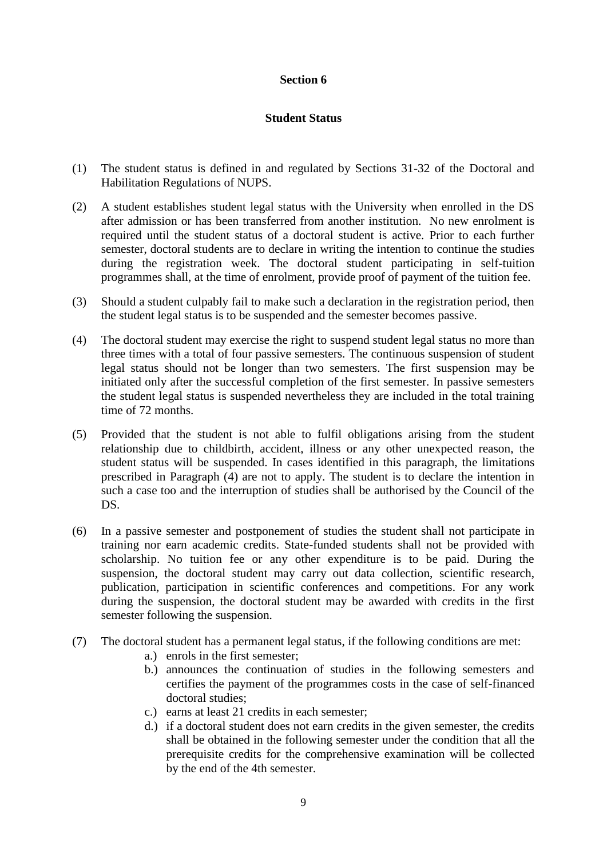### **Student Status**

- (1) The student status is defined in and regulated by Sections 31-32 of the Doctoral and Habilitation Regulations of NUPS.
- (2) A student establishes student legal status with the University when enrolled in the DS after admission or has been transferred from another institution. No new enrolment is required until the student status of a doctoral student is active. Prior to each further semester, doctoral students are to declare in writing the intention to continue the studies during the registration week. The doctoral student participating in self-tuition programmes shall, at the time of enrolment, provide proof of payment of the tuition fee.
- (3) Should a student culpably fail to make such a declaration in the registration period, then the student legal status is to be suspended and the semester becomes passive.
- (4) The doctoral student may exercise the right to suspend student legal status no more than three times with a total of four passive semesters. The continuous suspension of student legal status should not be longer than two semesters. The first suspension may be initiated only after the successful completion of the first semester. In passive semesters the student legal status is suspended nevertheless they are included in the total training time of 72 months.
- (5) Provided that the student is not able to fulfil obligations arising from the student relationship due to childbirth, accident, illness or any other unexpected reason, the student status will be suspended. In cases identified in this paragraph, the limitations prescribed in Paragraph (4) are not to apply. The student is to declare the intention in such a case too and the interruption of studies shall be authorised by the Council of the DS.
- (6) In a passive semester and postponement of studies the student shall not participate in training nor earn academic credits. State-funded students shall not be provided with scholarship. No tuition fee or any other expenditure is to be paid. During the suspension, the doctoral student may carry out data collection, scientific research, publication, participation in scientific conferences and competitions. For any work during the suspension, the doctoral student may be awarded with credits in the first semester following the suspension.
- (7) The doctoral student has a permanent legal status, if the following conditions are met:
	- a.) enrols in the first semester;
	- b.) announces the continuation of studies in the following semesters and certifies the payment of the programmes costs in the case of self-financed doctoral studies;
	- c.) earns at least 21 credits in each semester;
	- d.) if a doctoral student does not earn credits in the given semester, the credits shall be obtained in the following semester under the condition that all the prerequisite credits for the comprehensive examination will be collected by the end of the 4th semester.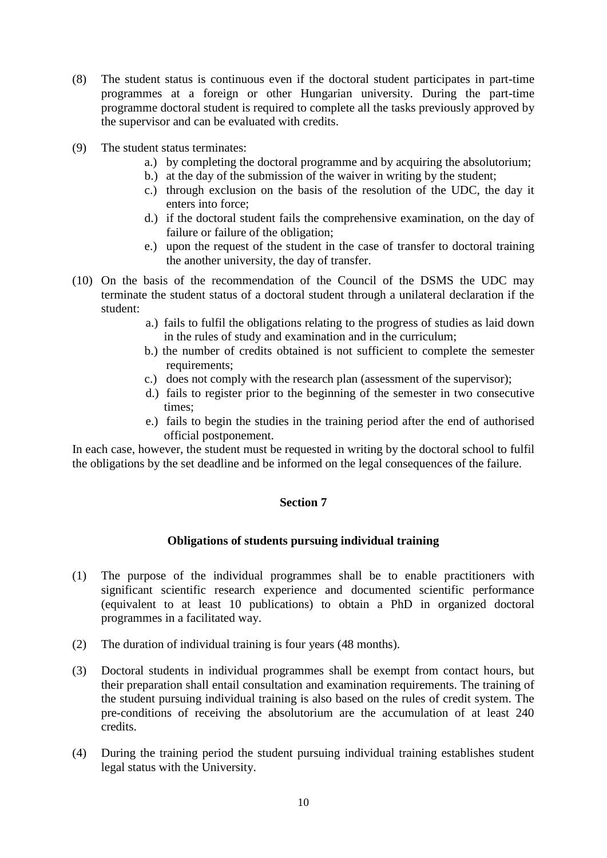- (8) The student status is continuous even if the doctoral student participates in part-time programmes at a foreign or other Hungarian university. During the part-time programme doctoral student is required to complete all the tasks previously approved by the supervisor and can be evaluated with credits.
- (9) The student status terminates:
	- a.) by completing the doctoral programme and by acquiring the absolutorium;
	- b.) at the day of the submission of the waiver in writing by the student;
	- c.) through exclusion on the basis of the resolution of the UDC, the day it enters into force;
	- d.) if the doctoral student fails the comprehensive examination, on the day of failure or failure of the obligation;
	- e.) upon the request of the student in the case of transfer to doctoral training the another university, the day of transfer.
- (10) On the basis of the recommendation of the Council of the DSMS the UDC may terminate the student status of a doctoral student through a unilateral declaration if the student:
	- a.) fails to fulfil the obligations relating to the progress of studies as laid down in the rules of study and examination and in the curriculum;
	- b.) the number of credits obtained is not sufficient to complete the semester requirements;
	- c.) does not comply with the research plan (assessment of the supervisor);
	- d.) fails to register prior to the beginning of the semester in two consecutive times;
	- e.) fails to begin the studies in the training period after the end of authorised official postponement.

In each case, however, the student must be requested in writing by the doctoral school to fulfil the obligations by the set deadline and be informed on the legal consequences of the failure.

### **Section 7**

### **Obligations of students pursuing individual training**

- (1) The purpose of the individual programmes shall be to enable practitioners with significant scientific research experience and documented scientific performance (equivalent to at least 10 publications) to obtain a PhD in organized doctoral programmes in a facilitated way.
- (2) The duration of individual training is four years (48 months).
- (3) Doctoral students in individual programmes shall be exempt from contact hours, but their preparation shall entail consultation and examination requirements. The training of the student pursuing individual training is also based on the rules of credit system. The pre-conditions of receiving the absolutorium are the accumulation of at least 240 credits.
- (4) During the training period the student pursuing individual training establishes student legal status with the University.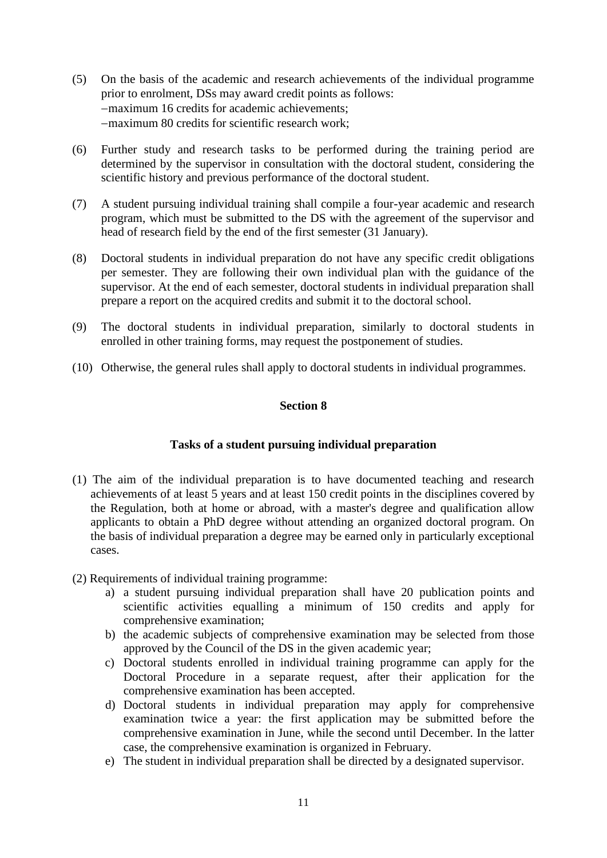- (5) On the basis of the academic and research achievements of the individual programme prior to enrolment, DSs may award credit points as follows: maximum 16 credits for academic achievements; maximum 80 credits for scientific research work;
- (6) Further study and research tasks to be performed during the training period are determined by the supervisor in consultation with the doctoral student, considering the scientific history and previous performance of the doctoral student.
- (7) A student pursuing individual training shall compile a four-year academic and research program, which must be submitted to the DS with the agreement of the supervisor and head of research field by the end of the first semester (31 January).
- (8) Doctoral students in individual preparation do not have any specific credit obligations per semester. They are following their own individual plan with the guidance of the supervisor. At the end of each semester, doctoral students in individual preparation shall prepare a report on the acquired credits and submit it to the doctoral school.
- (9) The doctoral students in individual preparation, similarly to doctoral students in enrolled in other training forms, may request the postponement of studies.
- (10) Otherwise, the general rules shall apply to doctoral students in individual programmes.

### **Tasks of a student pursuing individual preparation**

- (1) The aim of the individual preparation is to have documented teaching and research achievements of at least 5 years and at least 150 credit points in the disciplines covered by the Regulation, both at home or abroad, with a master's degree and qualification allow applicants to obtain a PhD degree without attending an organized doctoral program. On the basis of individual preparation a degree may be earned only in particularly exceptional cases.
- (2) Requirements of individual training programme:
	- a) a student pursuing individual preparation shall have 20 publication points and scientific activities equalling a minimum of 150 credits and apply for comprehensive examination;
	- b) the academic subjects of comprehensive examination may be selected from those approved by the Council of the DS in the given academic year;
	- c) Doctoral students enrolled in individual training programme can apply for the Doctoral Procedure in a separate request, after their application for the comprehensive examination has been accepted.
	- d) Doctoral students in individual preparation may apply for comprehensive examination twice a year: the first application may be submitted before the comprehensive examination in June, while the second until December. In the latter case, the comprehensive examination is organized in February.
	- e) The student in individual preparation shall be directed by a designated supervisor.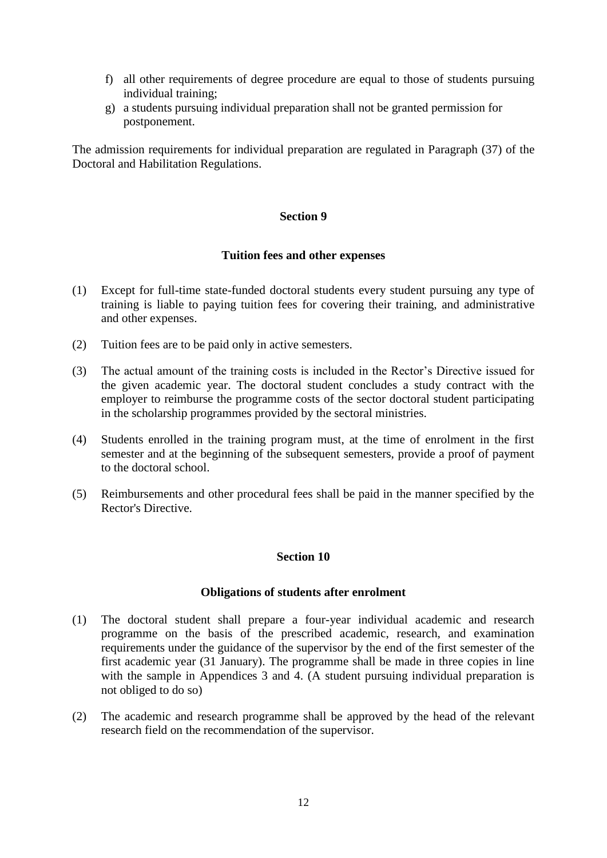- f) all other requirements of degree procedure are equal to those of students pursuing individual training;
- g) a students pursuing individual preparation shall not be granted permission for postponement.

The admission requirements for individual preparation are regulated in Paragraph (37) of the Doctoral and Habilitation Regulations.

### **Section 9**

### **Tuition fees and other expenses**

- (1) Except for full-time state-funded doctoral students every student pursuing any type of training is liable to paying tuition fees for covering their training, and administrative and other expenses.
- (2) Tuition fees are to be paid only in active semesters.
- (3) The actual amount of the training costs is included in the Rector's Directive issued for the given academic year. The doctoral student concludes a study contract with the employer to reimburse the programme costs of the sector doctoral student participating in the scholarship programmes provided by the sectoral ministries.
- (4) Students enrolled in the training program must, at the time of enrolment in the first semester and at the beginning of the subsequent semesters, provide a proof of payment to the doctoral school.
- (5) Reimbursements and other procedural fees shall be paid in the manner specified by the Rector's Directive.

### **Section 10**

### **Obligations of students after enrolment**

- (1) The doctoral student shall prepare a four-year individual academic and research programme on the basis of the prescribed academic, research, and examination requirements under the guidance of the supervisor by the end of the first semester of the first academic year (31 January). The programme shall be made in three copies in line with the sample in Appendices 3 and 4. (A student pursuing individual preparation is not obliged to do so)
- (2) The academic and research programme shall be approved by the head of the relevant research field on the recommendation of the supervisor.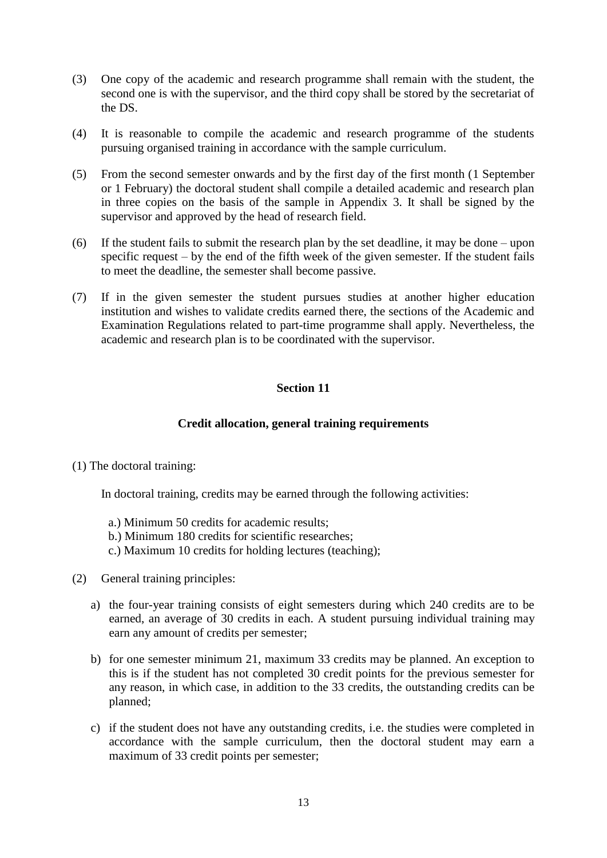- (3) One copy of the academic and research programme shall remain with the student, the second one is with the supervisor, and the third copy shall be stored by the secretariat of the DS.
- (4) It is reasonable to compile the academic and research programme of the students pursuing organised training in accordance with the sample curriculum.
- (5) From the second semester onwards and by the first day of the first month (1 September or 1 February) the doctoral student shall compile a detailed academic and research plan in three copies on the basis of the sample in Appendix 3. It shall be signed by the supervisor and approved by the head of research field.
- (6) If the student fails to submit the research plan by the set deadline, it may be done upon specific request – by the end of the fifth week of the given semester. If the student fails to meet the deadline, the semester shall become passive.
- (7) If in the given semester the student pursues studies at another higher education institution and wishes to validate credits earned there, the sections of the Academic and Examination Regulations related to part-time programme shall apply. Nevertheless, the academic and research plan is to be coordinated with the supervisor.

### **Credit allocation, general training requirements**

(1) The doctoral training:

In doctoral training, credits may be earned through the following activities:

- a.) Minimum 50 credits for academic results;
- b.) Minimum 180 credits for scientific researches;
- c.) Maximum 10 credits for holding lectures (teaching);
- (2) General training principles:
	- a) the four-year training consists of eight semesters during which 240 credits are to be earned, an average of 30 credits in each. A student pursuing individual training may earn any amount of credits per semester;
	- b) for one semester minimum 21, maximum 33 credits may be planned. An exception to this is if the student has not completed 30 credit points for the previous semester for any reason, in which case, in addition to the 33 credits, the outstanding credits can be planned;
	- c) if the student does not have any outstanding credits, i.e. the studies were completed in accordance with the sample curriculum, then the doctoral student may earn a maximum of 33 credit points per semester;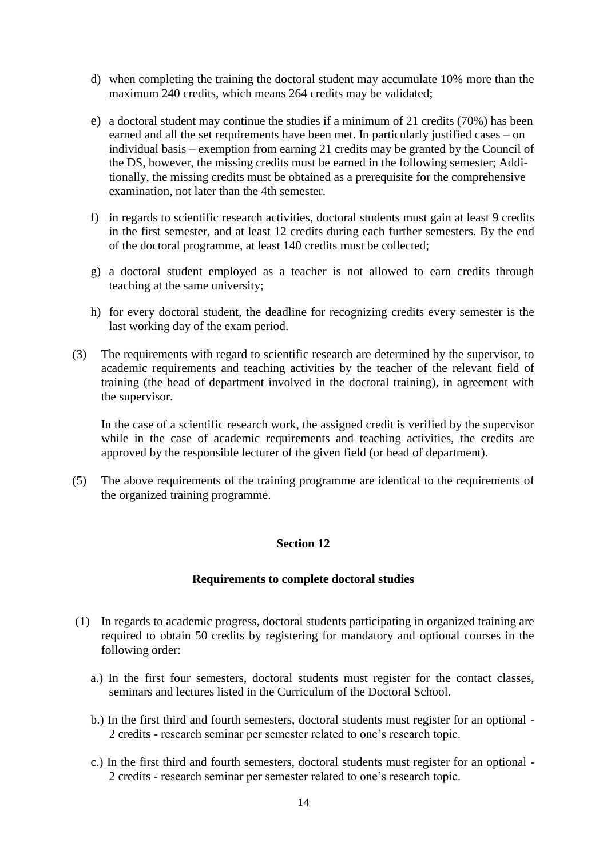- d) when completing the training the doctoral student may accumulate 10% more than the maximum 240 credits, which means 264 credits may be validated;
- e) a doctoral student may continue the studies if a minimum of 21 credits (70%) has been earned and all the set requirements have been met. In particularly justified cases – on individual basis – exemption from earning 21 credits may be granted by the Council of the DS, however, the missing credits must be earned in the following semester; Additionally, the missing credits must be obtained as a prerequisite for the comprehensive examination, not later than the 4th semester.
- f) in regards to scientific research activities, doctoral students must gain at least 9 credits in the first semester, and at least 12 credits during each further semesters. By the end of the doctoral programme, at least 140 credits must be collected;
- g) a doctoral student employed as a teacher is not allowed to earn credits through teaching at the same university;
- h) for every doctoral student, the deadline for recognizing credits every semester is the last working day of the exam period.
- (3) The requirements with regard to scientific research are determined by the supervisor, to academic requirements and teaching activities by the teacher of the relevant field of training (the head of department involved in the doctoral training), in agreement with the supervisor.

In the case of a scientific research work, the assigned credit is verified by the supervisor while in the case of academic requirements and teaching activities, the credits are approved by the responsible lecturer of the given field (or head of department).

(5) The above requirements of the training programme are identical to the requirements of the organized training programme.

### **Section 12**

### **Requirements to complete doctoral studies**

- (1) In regards to academic progress, doctoral students participating in organized training are required to obtain 50 credits by registering for mandatory and optional courses in the following order:
	- a.) In the first four semesters, doctoral students must register for the contact classes, seminars and lectures listed in the Curriculum of the Doctoral School.
	- b.) In the first third and fourth semesters, doctoral students must register for an optional 2 credits - research seminar per semester related to one's research topic.
	- c.) In the first third and fourth semesters, doctoral students must register for an optional 2 credits - research seminar per semester related to one's research topic.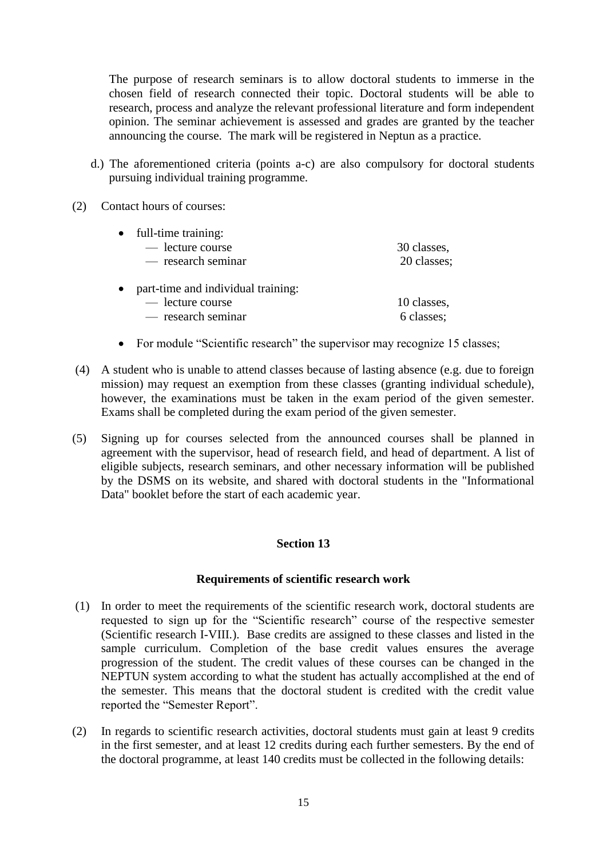The purpose of research seminars is to allow doctoral students to immerse in the chosen field of research connected their topic. Doctoral students will be able to research, process and analyze the relevant professional literature and form independent opinion. The seminar achievement is assessed and grades are granted by the teacher announcing the course. The mark will be registered in Neptun as a practice.

- d.) The aforementioned criteria (points a-c) are also compulsory for doctoral students pursuing individual training programme.
- (2) Contact hours of courses:

| $\bullet$ | full-time training:                |             |
|-----------|------------------------------------|-------------|
|           | — lecture course                   | 30 classes, |
|           | — research seminar                 | 20 classes; |
| $\bullet$ | part-time and individual training: |             |
|           | — lecture course                   | 10 classes, |
|           | — research seminar                 | 6 classes;  |

- For module "Scientific research" the supervisor may recognize 15 classes;
- (4) A student who is unable to attend classes because of lasting absence (e.g. due to foreign mission) may request an exemption from these classes (granting individual schedule), however, the examinations must be taken in the exam period of the given semester. Exams shall be completed during the exam period of the given semester.
- (5) Signing up for courses selected from the announced courses shall be planned in agreement with the supervisor, head of research field, and head of department. A list of eligible subjects, research seminars, and other necessary information will be published by the DSMS on its website, and shared with doctoral students in the "Informational Data" booklet before the start of each academic year.

### **Section 13**

### **Requirements of scientific research work**

- (1) In order to meet the requirements of the scientific research work, doctoral students are requested to sign up for the "Scientific research" course of the respective semester (Scientific research I-VIII.). Base credits are assigned to these classes and listed in the sample curriculum. Completion of the base credit values ensures the average progression of the student. The credit values of these courses can be changed in the NEPTUN system according to what the student has actually accomplished at the end of the semester. This means that the doctoral student is credited with the credit value reported the "Semester Report".
- (2) In regards to scientific research activities, doctoral students must gain at least 9 credits in the first semester, and at least 12 credits during each further semesters. By the end of the doctoral programme, at least 140 credits must be collected in the following details: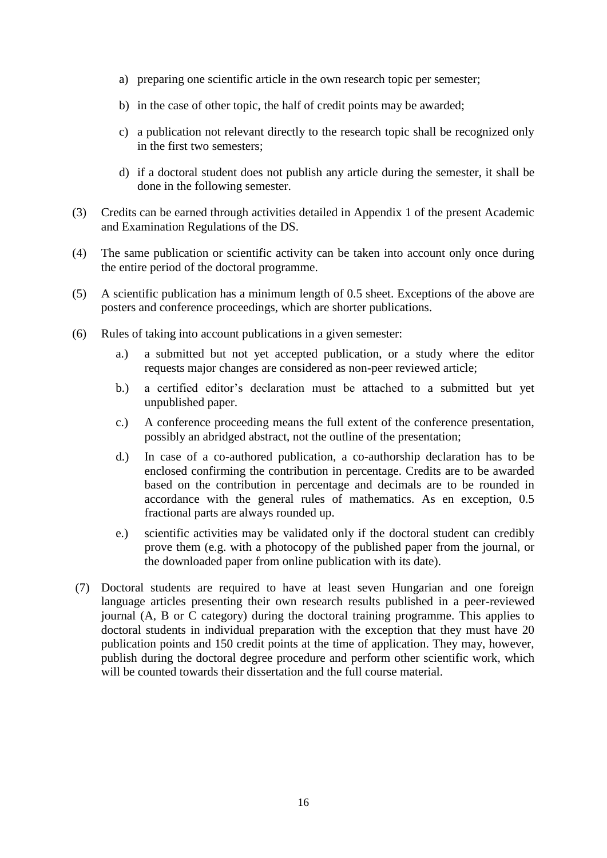- a) preparing one scientific article in the own research topic per semester;
- b) in the case of other topic, the half of credit points may be awarded;
- c) a publication not relevant directly to the research topic shall be recognized only in the first two semesters;
- d) if a doctoral student does not publish any article during the semester, it shall be done in the following semester.
- (3) Credits can be earned through activities detailed in Appendix 1 of the present Academic and Examination Regulations of the DS.
- (4) The same publication or scientific activity can be taken into account only once during the entire period of the doctoral programme.
- (5) A scientific publication has a minimum length of 0.5 sheet. Exceptions of the above are posters and conference proceedings, which are shorter publications.
- (6) Rules of taking into account publications in a given semester:
	- a.) a submitted but not yet accepted publication, or a study where the editor requests major changes are considered as non-peer reviewed article;
	- b.) a certified editor's declaration must be attached to a submitted but yet unpublished paper.
	- c.) A conference proceeding means the full extent of the conference presentation, possibly an abridged abstract, not the outline of the presentation;
	- d.) In case of a co-authored publication, a co-authorship declaration has to be enclosed confirming the contribution in percentage. Credits are to be awarded based on the contribution in percentage and decimals are to be rounded in accordance with the general rules of mathematics. As en exception, 0.5 fractional parts are always rounded up.
	- e.) scientific activities may be validated only if the doctoral student can credibly prove them (e.g. with a photocopy of the published paper from the journal, or the downloaded paper from online publication with its date).
- (7) Doctoral students are required to have at least seven Hungarian and one foreign language articles presenting their own research results published in a peer-reviewed journal (A, B or C category) during the doctoral training programme. This applies to doctoral students in individual preparation with the exception that they must have 20 publication points and 150 credit points at the time of application. They may, however, publish during the doctoral degree procedure and perform other scientific work, which will be counted towards their dissertation and the full course material.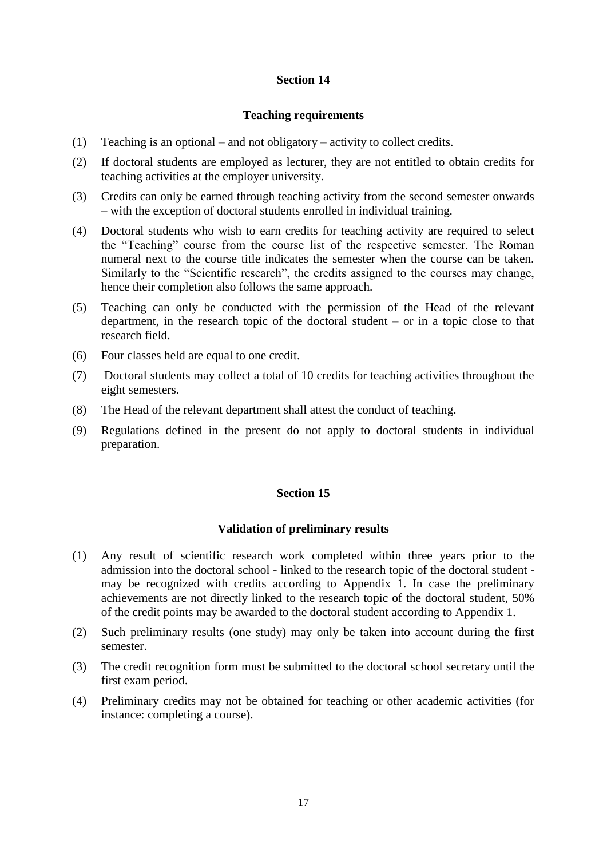### **Teaching requirements**

- (1) Teaching is an optional and not obligatory activity to collect credits.
- (2) If doctoral students are employed as lecturer, they are not entitled to obtain credits for teaching activities at the employer university.
- (3) Credits can only be earned through teaching activity from the second semester onwards – with the exception of doctoral students enrolled in individual training.
- (4) Doctoral students who wish to earn credits for teaching activity are required to select the "Teaching" course from the course list of the respective semester. The Roman numeral next to the course title indicates the semester when the course can be taken. Similarly to the "Scientific research", the credits assigned to the courses may change, hence their completion also follows the same approach.
- (5) Teaching can only be conducted with the permission of the Head of the relevant department, in the research topic of the doctoral student – or in a topic close to that research field.
- (6) Four classes held are equal to one credit.
- (7) Doctoral students may collect a total of 10 credits for teaching activities throughout the eight semesters.
- (8) The Head of the relevant department shall attest the conduct of teaching.
- (9) Regulations defined in the present do not apply to doctoral students in individual preparation.

#### **Section 15**

#### **Validation of preliminary results**

- (1) Any result of scientific research work completed within three years prior to the admission into the doctoral school - linked to the research topic of the doctoral student may be recognized with credits according to Appendix 1. In case the preliminary achievements are not directly linked to the research topic of the doctoral student, 50% of the credit points may be awarded to the doctoral student according to Appendix 1.
- (2) Such preliminary results (one study) may only be taken into account during the first semester.
- (3) The credit recognition form must be submitted to the doctoral school secretary until the first exam period.
- (4) Preliminary credits may not be obtained for teaching or other academic activities (for instance: completing a course).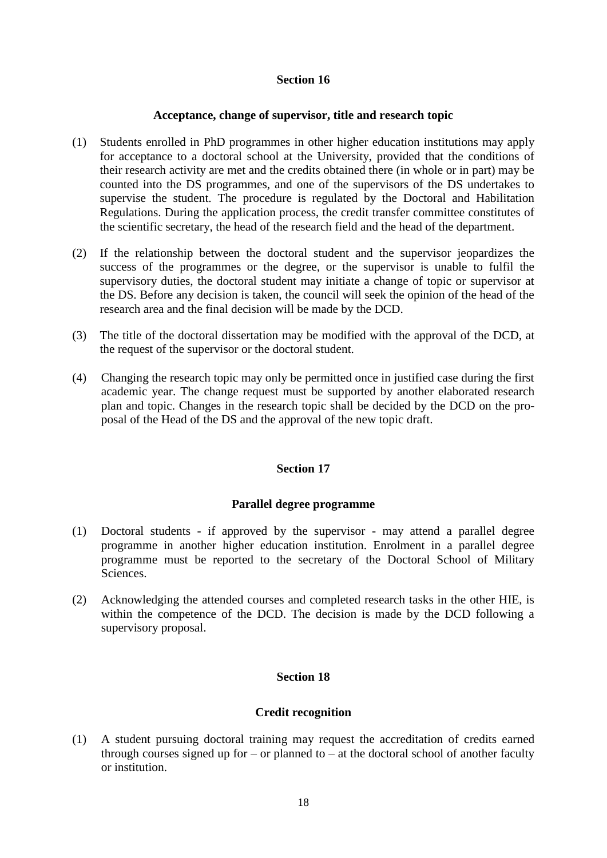### **Acceptance, change of supervisor, title and research topic**

- (1) Students enrolled in PhD programmes in other higher education institutions may apply for acceptance to a doctoral school at the University, provided that the conditions of their research activity are met and the credits obtained there (in whole or in part) may be counted into the DS programmes, and one of the supervisors of the DS undertakes to supervise the student. The procedure is regulated by the Doctoral and Habilitation Regulations. During the application process, the credit transfer committee constitutes of the scientific secretary, the head of the research field and the head of the department.
- (2) If the relationship between the doctoral student and the supervisor jeopardizes the success of the programmes or the degree, or the supervisor is unable to fulfil the supervisory duties, the doctoral student may initiate a change of topic or supervisor at the DS. Before any decision is taken, the council will seek the opinion of the head of the research area and the final decision will be made by the DCD.
- (3) The title of the doctoral dissertation may be modified with the approval of the DCD, at the request of the supervisor or the doctoral student.
- (4) Changing the research topic may only be permitted once in justified case during the first academic year. The change request must be supported by another elaborated research plan and topic. Changes in the research topic shall be decided by the DCD on the proposal of the Head of the DS and the approval of the new topic draft.

### **Section 17**

### **Parallel degree programme**

- (1) Doctoral students if approved by the supervisor may attend a parallel degree programme in another higher education institution. Enrolment in a parallel degree programme must be reported to the secretary of the Doctoral School of Military Sciences.
- (2) Acknowledging the attended courses and completed research tasks in the other HIE, is within the competence of the DCD. The decision is made by the DCD following a supervisory proposal.

### **Section 18**

### **Credit recognition**

(1) A student pursuing doctoral training may request the accreditation of credits earned through courses signed up for – or planned to – at the doctoral school of another faculty or institution.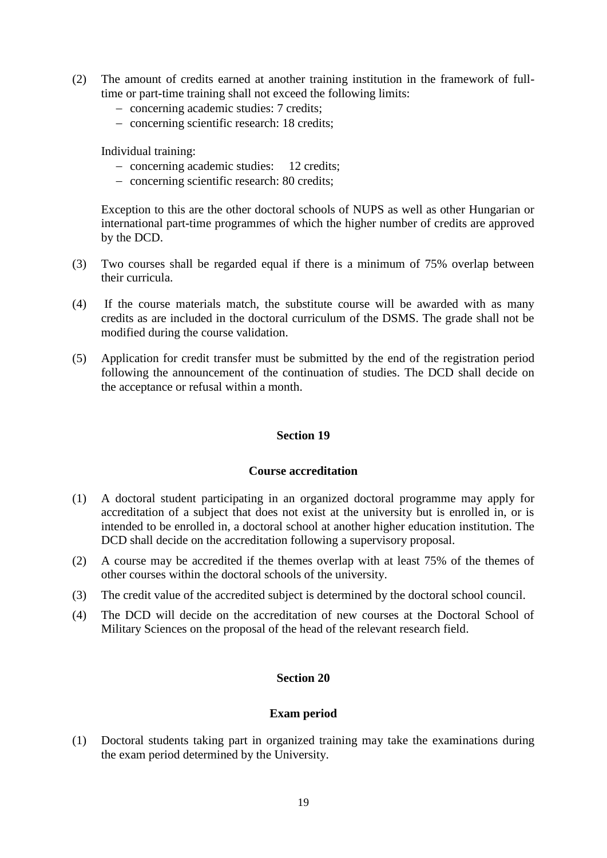- (2) The amount of credits earned at another training institution in the framework of fulltime or part-time training shall not exceed the following limits:
	- concerning academic studies: 7 credits;
	- concerning scientific research: 18 credits;

Individual training:

- concerning academic studies: 12 credits;
- concerning scientific research: 80 credits;

Exception to this are the other doctoral schools of NUPS as well as other Hungarian or international part-time programmes of which the higher number of credits are approved by the DCD.

- (3) Two courses shall be regarded equal if there is a minimum of 75% overlap between their curricula.
- (4) If the course materials match, the substitute course will be awarded with as many credits as are included in the doctoral curriculum of the DSMS. The grade shall not be modified during the course validation.
- (5) Application for credit transfer must be submitted by the end of the registration period following the announcement of the continuation of studies. The DCD shall decide on the acceptance or refusal within a month.

### **Section 19**

### **Course accreditation**

- (1) A doctoral student participating in an organized doctoral programme may apply for accreditation of a subject that does not exist at the university but is enrolled in, or is intended to be enrolled in, a doctoral school at another higher education institution. The DCD shall decide on the accreditation following a supervisory proposal.
- (2) A course may be accredited if the themes overlap with at least 75% of the themes of other courses within the doctoral schools of the university.
- (3) The credit value of the accredited subject is determined by the doctoral school council.
- (4) The DCD will decide on the accreditation of new courses at the Doctoral School of Military Sciences on the proposal of the head of the relevant research field.

### **Section 20**

### **Exam period**

(1) Doctoral students taking part in organized training may take the examinations during the exam period determined by the University.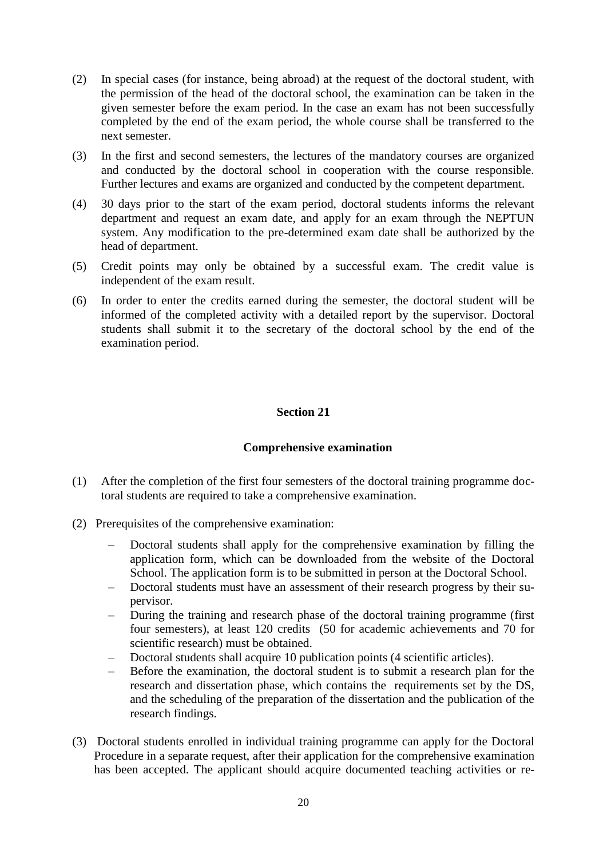- (2) In special cases (for instance, being abroad) at the request of the doctoral student, with the permission of the head of the doctoral school, the examination can be taken in the given semester before the exam period. In the case an exam has not been successfully completed by the end of the exam period, the whole course shall be transferred to the next semester.
- (3) In the first and second semesters, the lectures of the mandatory courses are organized and conducted by the doctoral school in cooperation with the course responsible. Further lectures and exams are organized and conducted by the competent department.
- (4) 30 days prior to the start of the exam period, doctoral students informs the relevant department and request an exam date, and apply for an exam through the NEPTUN system. Any modification to the pre-determined exam date shall be authorized by the head of department.
- (5) Credit points may only be obtained by a successful exam. The credit value is independent of the exam result.
- (6) In order to enter the credits earned during the semester, the doctoral student will be informed of the completed activity with a detailed report by the supervisor. Doctoral students shall submit it to the secretary of the doctoral school by the end of the examination period.

### **Comprehensive examination**

- (1) After the completion of the first four semesters of the doctoral training programme doctoral students are required to take a comprehensive examination.
- (2) Prerequisites of the comprehensive examination:
	- Doctoral students shall apply for the comprehensive examination by filling the application form, which can be downloaded from the website of the Doctoral School. The application form is to be submitted in person at the Doctoral School.
	- Doctoral students must have an assessment of their research progress by their supervisor.
	- During the training and research phase of the doctoral training programme (first four semesters), at least 120 credits (50 for academic achievements and 70 for scientific research) must be obtained.
	- Doctoral students shall acquire 10 publication points (4 scientific articles).
	- Before the examination, the doctoral student is to submit a research plan for the research and dissertation phase, which contains the requirements set by the DS, and the scheduling of the preparation of the dissertation and the publication of the research findings.
- (3) Doctoral students enrolled in individual training programme can apply for the Doctoral Procedure in a separate request, after their application for the comprehensive examination has been accepted. The applicant should acquire documented teaching activities or re-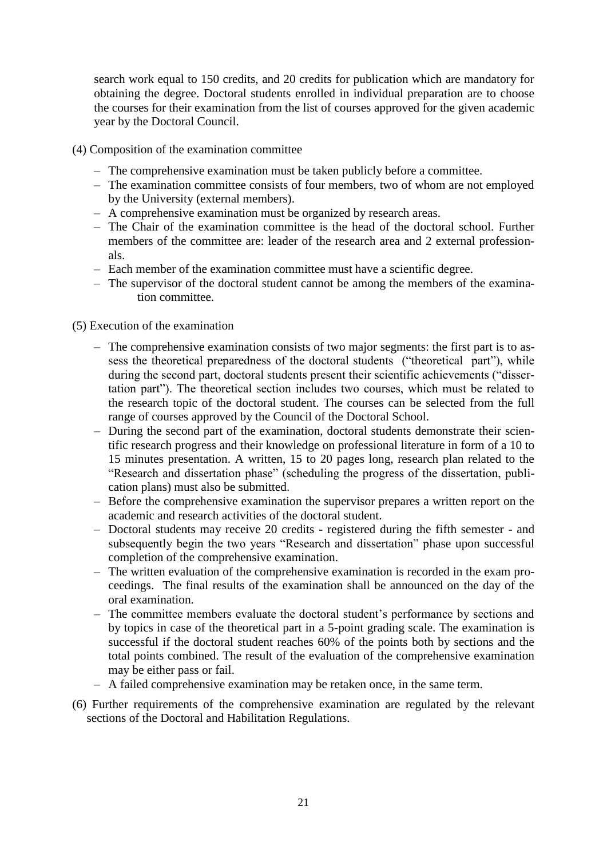search work equal to 150 credits, and 20 credits for publication which are mandatory for obtaining the degree. Doctoral students enrolled in individual preparation are to choose the courses for their examination from the list of courses approved for the given academic year by the Doctoral Council.

- (4) Composition of the examination committee
	- The comprehensive examination must be taken publicly before a committee.
	- The examination committee consists of four members, two of whom are not employed by the University (external members).
	- A comprehensive examination must be organized by research areas.
	- The Chair of the examination committee is the head of the doctoral school. Further members of the committee are: leader of the research area and 2 external professionals.
	- Each member of the examination committee must have a scientific degree.
	- The supervisor of the doctoral student cannot be among the members of the examination committee.

### (5) Execution of the examination

- The comprehensive examination consists of two major segments: the first part is to assess the theoretical preparedness of the doctoral students ("theoretical part"), while during the second part, doctoral students present their scientific achievements ("dissertation part"). The theoretical section includes two courses, which must be related to the research topic of the doctoral student. The courses can be selected from the full range of courses approved by the Council of the Doctoral School.
- During the second part of the examination, doctoral students demonstrate their scientific research progress and their knowledge on professional literature in form of a 10 to 15 minutes presentation. A written, 15 to 20 pages long, research plan related to the "Research and dissertation phase" (scheduling the progress of the dissertation, publication plans) must also be submitted.
- Before the comprehensive examination the supervisor prepares a written report on the academic and research activities of the doctoral student.
- Doctoral students may receive 20 credits registered during the fifth semester and subsequently begin the two years "Research and dissertation" phase upon successful completion of the comprehensive examination.
- The written evaluation of the comprehensive examination is recorded in the exam proceedings. The final results of the examination shall be announced on the day of the oral examination.
- The committee members evaluate the doctoral student's performance by sections and by topics in case of the theoretical part in a 5-point grading scale. The examination is successful if the doctoral student reaches 60% of the points both by sections and the total points combined. The result of the evaluation of the comprehensive examination may be either pass or fail.
- A failed comprehensive examination may be retaken once, in the same term.
- (6) Further requirements of the comprehensive examination are regulated by the relevant sections of the Doctoral and Habilitation Regulations.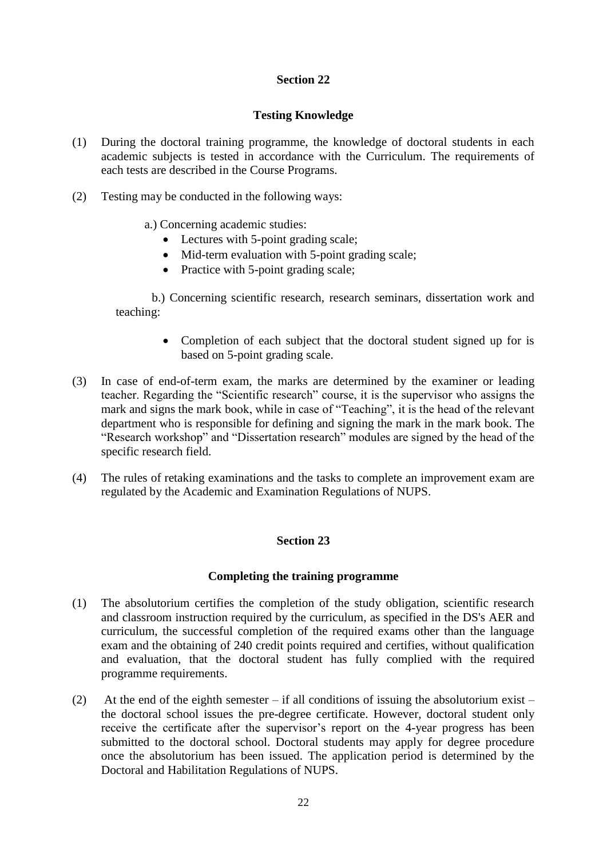### **Testing Knowledge**

- (1) During the doctoral training programme, the knowledge of doctoral students in each academic subjects is tested in accordance with the Curriculum. The requirements of each tests are described in the Course Programs.
- (2) Testing may be conducted in the following ways:
	- a.) Concerning academic studies:
		- Lectures with 5-point grading scale;
		- Mid-term evaluation with 5-point grading scale:
		- Practice with 5-point grading scale;

b.) Concerning scientific research, research seminars, dissertation work and teaching:

- Completion of each subject that the doctoral student signed up for is based on 5-point grading scale.
- (3) In case of end-of-term exam, the marks are determined by the examiner or leading teacher. Regarding the "Scientific research" course, it is the supervisor who assigns the mark and signs the mark book, while in case of "Teaching", it is the head of the relevant department who is responsible for defining and signing the mark in the mark book. The "Research workshop" and "Dissertation research" modules are signed by the head of the specific research field.
- (4) The rules of retaking examinations and the tasks to complete an improvement exam are regulated by the Academic and Examination Regulations of NUPS.

### **Section 23**

### **Completing the training programme**

- (1) The absolutorium certifies the completion of the study obligation, scientific research and classroom instruction required by the curriculum, as specified in the DS's AER and curriculum, the successful completion of the required exams other than the language exam and the obtaining of 240 credit points required and certifies, without qualification and evaluation, that the doctoral student has fully complied with the required programme requirements.
- (2) At the end of the eighth semester if all conditions of issuing the absolutorium exist the doctoral school issues the pre-degree certificate. However, doctoral student only receive the certificate after the supervisor's report on the 4-year progress has been submitted to the doctoral school. Doctoral students may apply for degree procedure once the absolutorium has been issued. The application period is determined by the Doctoral and Habilitation Regulations of NUPS.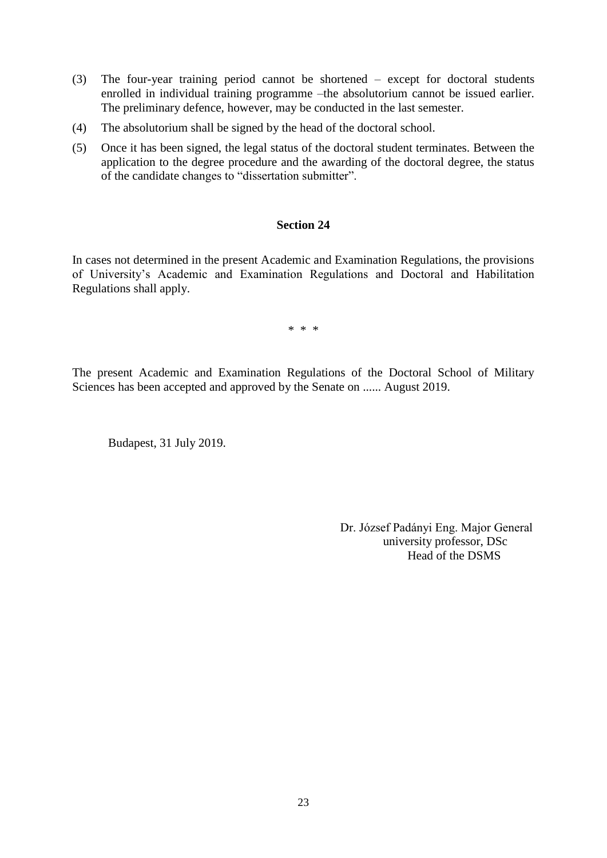- (3) The four-year training period cannot be shortened except for doctoral students enrolled in individual training programme –the absolutorium cannot be issued earlier. The preliminary defence, however, may be conducted in the last semester.
- (4) The absolutorium shall be signed by the head of the doctoral school.
- (5) Once it has been signed, the legal status of the doctoral student terminates. Between the application to the degree procedure and the awarding of the doctoral degree, the status of the candidate changes to "dissertation submitter".

In cases not determined in the present Academic and Examination Regulations, the provisions of University's Academic and Examination Regulations and Doctoral and Habilitation Regulations shall apply.

\* \* \*

The present Academic and Examination Regulations of the Doctoral School of Military Sciences has been accepted and approved by the Senate on ...... August 2019.

Budapest, 31 July 2019.

 Dr. József Padányi Eng. Major General university professor, DSc Head of the DSMS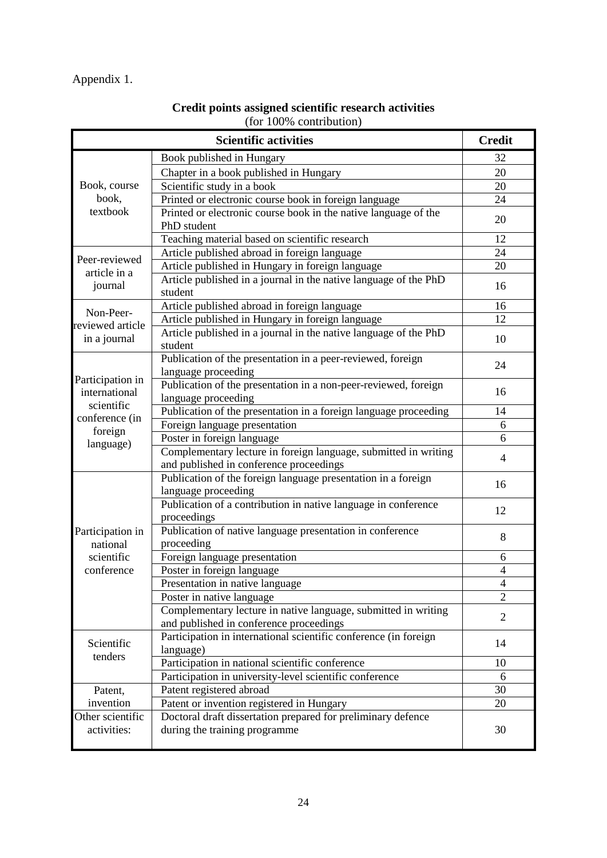### Appendix 1.

|                                   | <b>Scientific activities</b>                                                                               | <b>Credit</b>  |
|-----------------------------------|------------------------------------------------------------------------------------------------------------|----------------|
|                                   | Book published in Hungary                                                                                  | 32             |
|                                   | Chapter in a book published in Hungary                                                                     | 20             |
| Book, course                      | Scientific study in a book                                                                                 | 20             |
| book,                             | Printed or electronic course book in foreign language                                                      | 24             |
| textbook                          | Printed or electronic course book in the native language of the                                            | 20             |
|                                   | PhD student                                                                                                |                |
|                                   | Teaching material based on scientific research                                                             | 12             |
| Peer-reviewed                     | Article published abroad in foreign language                                                               | 24             |
| article in a                      | Article published in Hungary in foreign language                                                           | 20             |
| journal                           | Article published in a journal in the native language of the PhD<br>student                                | 16             |
|                                   | Article published abroad in foreign language                                                               | 16             |
| Non-Peer-<br>reviewed article     | Article published in Hungary in foreign language                                                           | 12             |
| in a journal                      | Article published in a journal in the native language of the PhD<br>student                                | 10             |
|                                   | Publication of the presentation in a peer-reviewed, foreign<br>language proceeding                         | 24             |
| Participation in<br>international | Publication of the presentation in a non-peer-reviewed, foreign<br>language proceeding                     | 16             |
| scientific                        | Publication of the presentation in a foreign language proceeding                                           | 14             |
| conference (in                    | Foreign language presentation                                                                              | 6              |
| foreign                           | Poster in foreign language                                                                                 | 6              |
| language)                         | Complementary lecture in foreign language, submitted in writing<br>and published in conference proceedings | 4              |
|                                   | Publication of the foreign language presentation in a foreign                                              | 16             |
|                                   | language proceeding<br>Publication of a contribution in native language in conference                      | 12             |
|                                   | proceedings                                                                                                |                |
| Participation in<br>national      | Publication of native language presentation in conference<br>proceeding                                    | 8              |
| scientific                        | Foreign language presentation                                                                              | 6              |
| conference                        | Poster in foreign language                                                                                 | $\overline{4}$ |
|                                   | Presentation in native language                                                                            | $\overline{4}$ |
|                                   | Poster in native language                                                                                  | $\overline{2}$ |
|                                   | Complementary lecture in native language, submitted in writing<br>and published in conference proceedings  | $\overline{2}$ |
| Scientific                        | Participation in international scientific conference (in foreign                                           | 14             |
| tenders                           | language)<br>Participation in national scientific conference                                               |                |
|                                   |                                                                                                            | 10             |
|                                   | Participation in university-level scientific conference                                                    | 6<br>30        |
| Patent,<br>invention              | Patent registered abroad<br>Patent or invention registered in Hungary                                      | 20             |
| Other scientific                  | Doctoral draft dissertation prepared for preliminary defence                                               |                |
| activities:                       | during the training programme                                                                              | 30             |

### **Credit points assigned scientific research activities**  (for 100% contribution)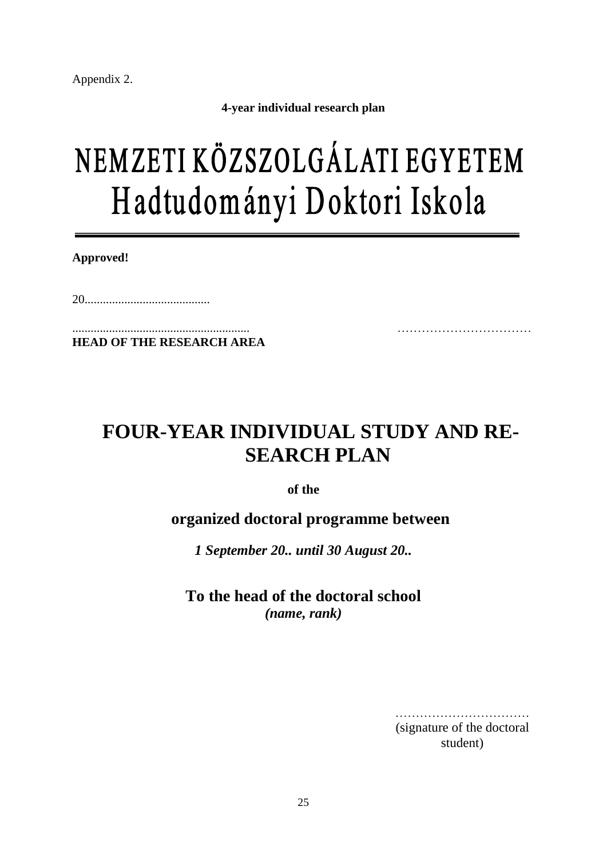Appendix 2.

**4-year individual research plan**

## NEMZETI KÖZSZOLGÁLATI EGYETEM Hadtudományi Doktori Iskola

**Approved!**

20.........................................

.......................................................... …………………………… **HEAD OF THE RESEARCH AREA**

### **FOUR-YEAR INDIVIDUAL STUDY AND RE-SEARCH PLAN**

**of the** 

**organized doctoral programme between**

*1 September 20.. until 30 August 20..*

**To the head of the doctoral school** *(name, rank)*

> ………………………………………… (signature of the doctoral student)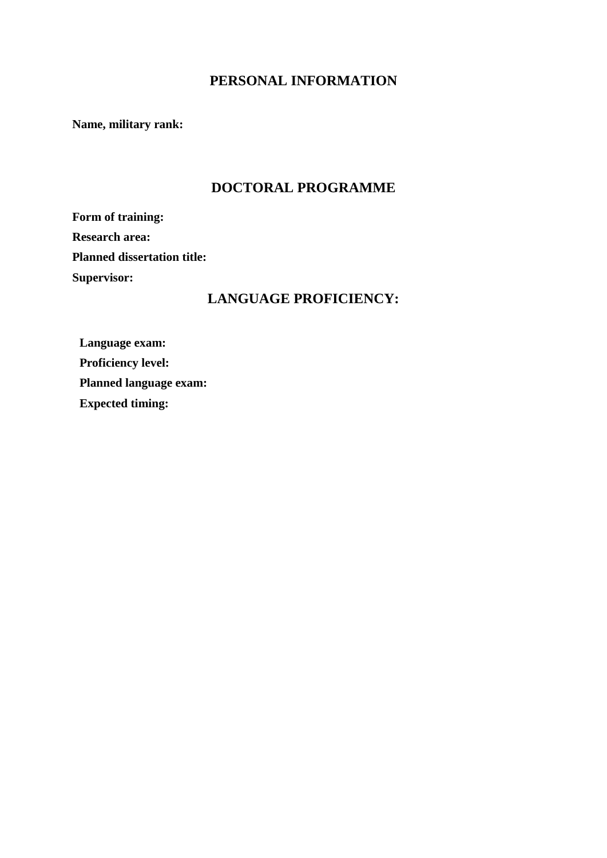### **PERSONAL INFORMATION**

**Name, military rank:** 

### **DOCTORAL PROGRAMME**

**Form of training: Research area: Planned dissertation title: Supervisor:** 

### **LANGUAGE PROFICIENCY:**

**Language exam: Proficiency level: Planned language exam: Expected timing:**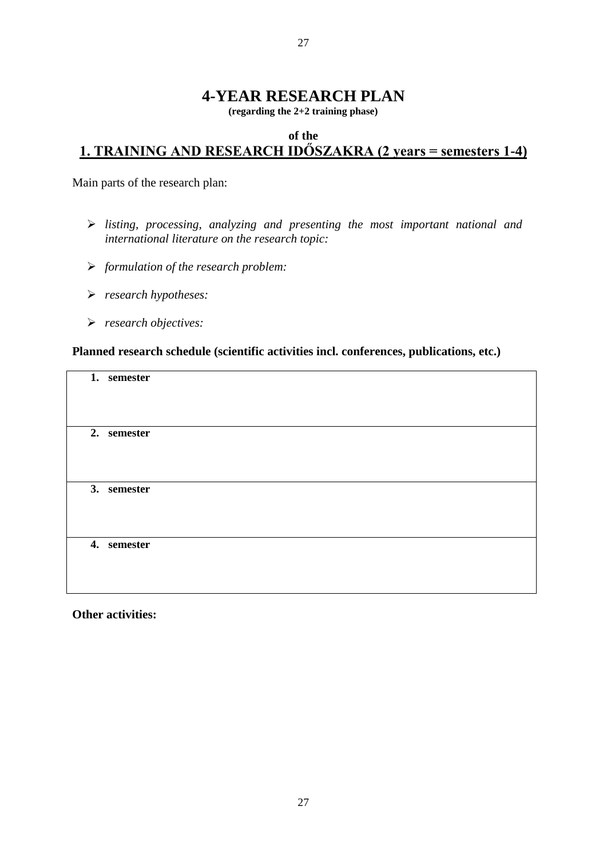### **4-YEAR RESEARCH PLAN**

**(regarding the 2+2 training phase)**

### **of the 1. TRAINING AND RESEARCH IDŐSZAKRA (2 years = semesters 1-4)**

Main parts of the research plan:

- *listing, processing, analyzing and presenting the most important national and international literature on the research topic:*
- *formulation of the research problem:*
- *research hypotheses:*
- *research objectives:*

### **Planned research schedule (scientific activities incl. conferences, publications, etc.)**

| 1. semester<br>2. semester<br>3. semester |
|-------------------------------------------|
|                                           |
|                                           |
|                                           |
|                                           |
|                                           |
|                                           |
|                                           |
|                                           |
|                                           |
|                                           |
|                                           |
|                                           |
|                                           |
|                                           |
|                                           |
|                                           |
|                                           |
|                                           |
|                                           |
|                                           |
|                                           |
|                                           |
|                                           |
| 4. semester                               |
|                                           |
|                                           |
|                                           |
|                                           |
|                                           |
|                                           |
|                                           |

**Other activities:**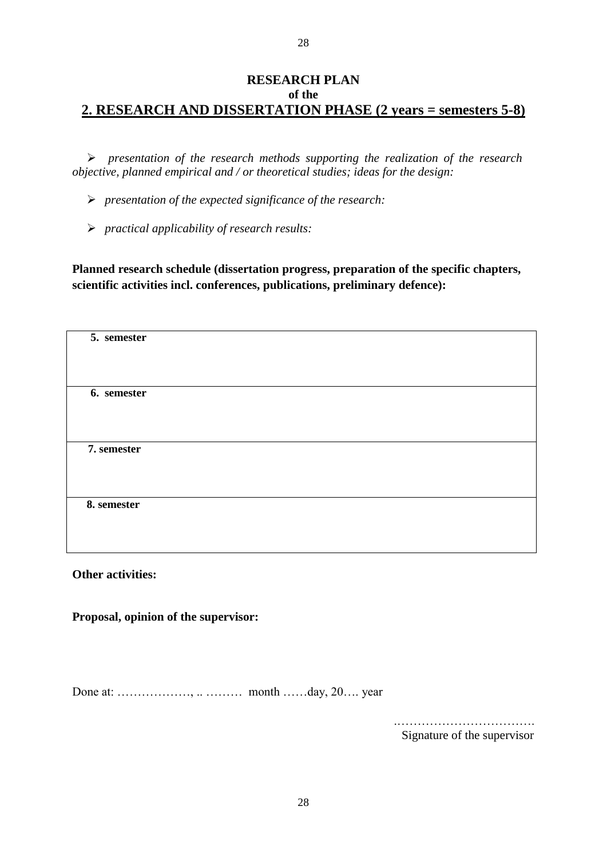### **RESEARCH PLAN of the 2. RESEARCH AND DISSERTATION PHASE (2 years = semesters 5-8)**

 *presentation of the research methods supporting the realization of the research objective, planned empirical and / or theoretical studies; ideas for the design:*

*presentation of the expected significance of the research:*

*practical applicability of research results:*

**Planned research schedule (dissertation progress, preparation of the specific chapters, scientific activities incl. conferences, publications, preliminary defence):**

| 5. semester |  |  |  |
|-------------|--|--|--|
|             |  |  |  |
|             |  |  |  |
| 6. semester |  |  |  |
|             |  |  |  |
|             |  |  |  |
|             |  |  |  |
|             |  |  |  |
|             |  |  |  |
| 7. semester |  |  |  |
|             |  |  |  |
|             |  |  |  |
|             |  |  |  |
|             |  |  |  |
|             |  |  |  |
| 8. semester |  |  |  |
|             |  |  |  |
|             |  |  |  |
|             |  |  |  |
|             |  |  |  |
|             |  |  |  |

**Other activities:**

**Proposal, opinion of the supervisor:** 

Done at: ………………, .. ……… month ……day, 20…. year

.……………………………. Signature of the supervisor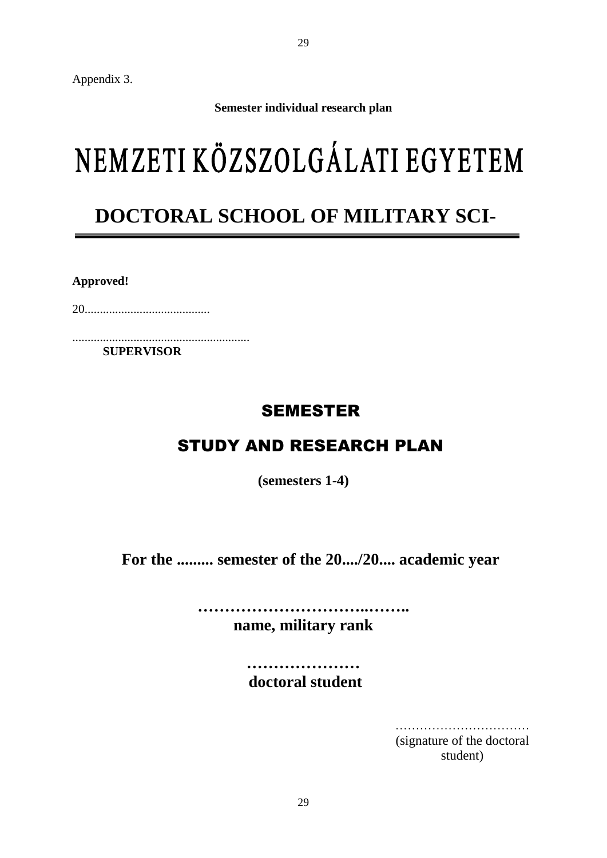Appendix 3.

**Semester individual research plan**

## NEMZETI KÖZSZOLGÁLATI EGYETEM

### **DOCTORAL SCHOOL OF MILITARY SCI-**

**ENCES** 

**Approved!**

20.........................................

..........................................................  **SUPERVISOR**

### SEMESTER

### STUDY AND RESEARCH PLAN

**(semesters 1-4)**

**For the ......... semester of the 20..../20.... academic year**

**…………………………..…….. name, military rank**

> **………………… doctoral student**

> > ……………………………………… (signature of the doctoral student)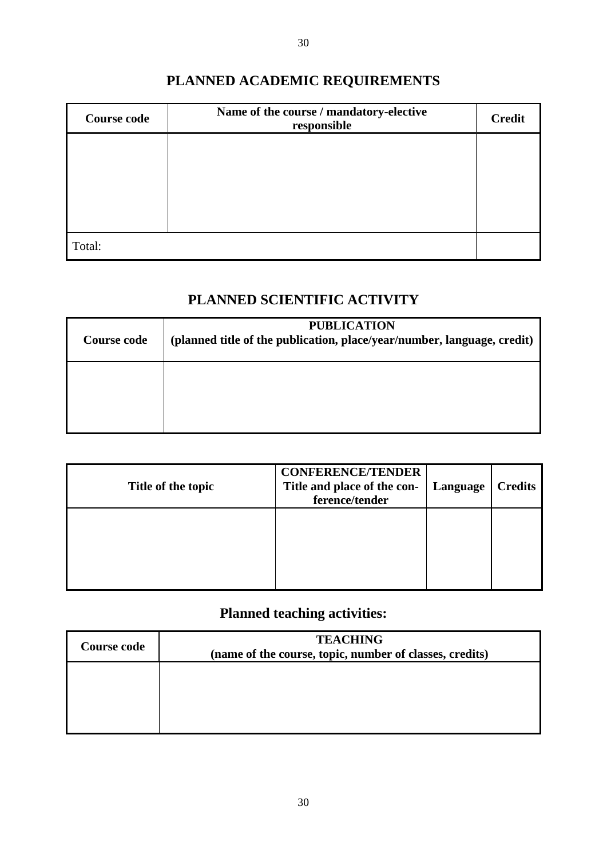### **PLANNED ACADEMIC REQUIREMENTS**

| <b>Course code</b> | Name of the course / mandatory-elective<br>responsible | <b>Credit</b> |
|--------------------|--------------------------------------------------------|---------------|
|                    |                                                        |               |
|                    |                                                        |               |
|                    |                                                        |               |
|                    |                                                        |               |
| Total:             |                                                        |               |

### **PLANNED SCIENTIFIC ACTIVITY**

| <b>Course code</b> | <b>PUBLICATION</b><br>(planned title of the publication, place/year/number, language, credit) |
|--------------------|-----------------------------------------------------------------------------------------------|
|                    |                                                                                               |

| Title of the topic | <b>CONFERENCE/TENDER</b><br>Title and place of the con-<br>ference/tender | Language | <b>Credits</b> |
|--------------------|---------------------------------------------------------------------------|----------|----------------|
|                    |                                                                           |          |                |
|                    |                                                                           |          |                |

### **Planned teaching activities:**

| <b>Course code</b> | <b>TEACHING</b><br>(name of the course, topic, number of classes, credits) |  |
|--------------------|----------------------------------------------------------------------------|--|
|                    |                                                                            |  |
|                    |                                                                            |  |
|                    |                                                                            |  |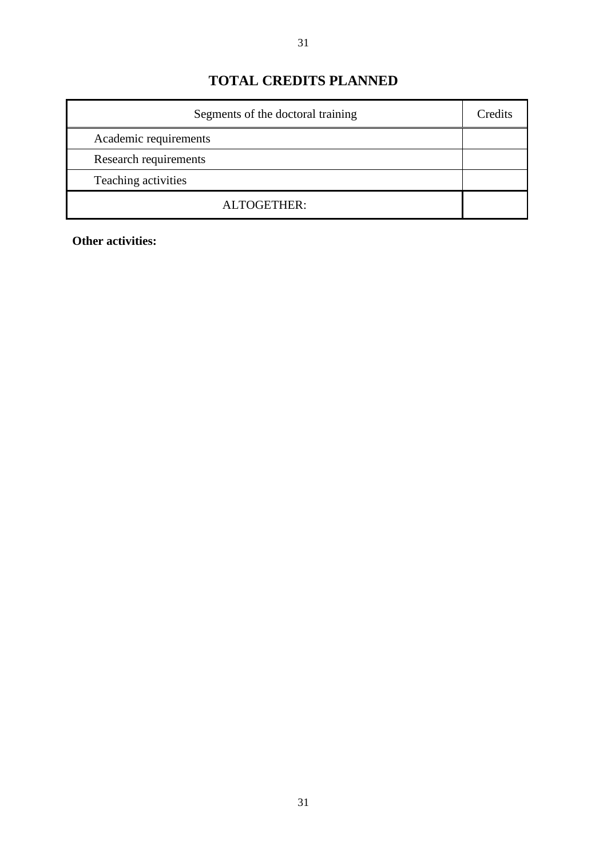### **TOTAL CREDITS PLANNED**

| Segments of the doctoral training |  |
|-----------------------------------|--|
| Academic requirements             |  |
| Research requirements             |  |
| Teaching activities               |  |
| ALTOGETHER:                       |  |

**Other activities:**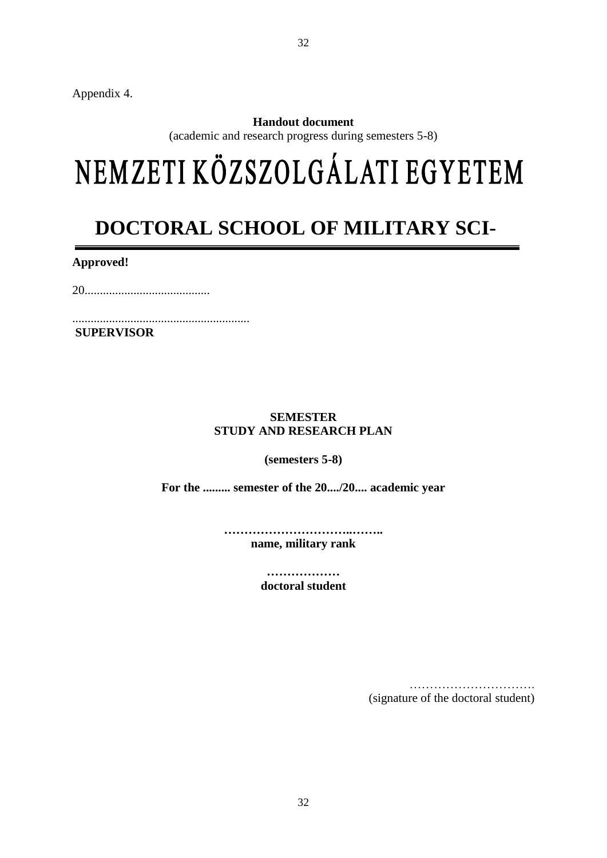Appendix 4.

### **Handout document**

(academic and research progress during semesters 5-8)

# NEMZETI KÖZSZOLGÁLATI EGYETEM

## **DOCTORAL SCHOOL OF MILITARY SCI-**

**ENCES** 

**Approved!**

20.........................................

.......................................................... **SUPERVISOR**

### **SEMESTER STUDY AND RESEARCH PLAN**

**(semesters 5-8)**

**For the ......... semester of the 20..../20.... academic year**

**…………………………..…….. name, military rank**

> **……………… doctoral student**

> > …………………………. (signature of the doctoral student)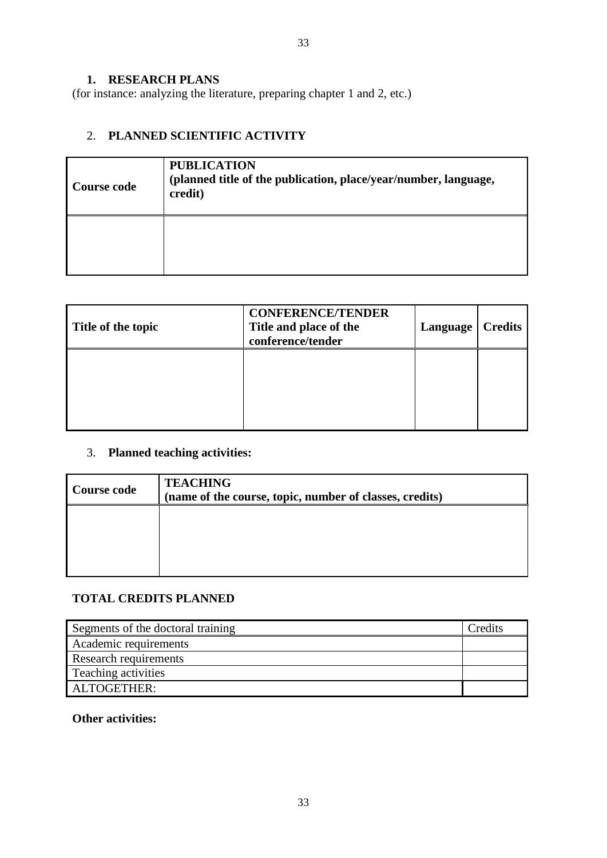**1. RESEARCH PLANS**

(for instance: analyzing the literature, preparing chapter 1 and 2, etc.)

### 2. **PLANNED SCIENTIFIC ACTIVITY**

| <b>Course code</b> | <b>PUBLICATION</b><br>(planned title of the publication, place/year/number, language,<br>credit) |
|--------------------|--------------------------------------------------------------------------------------------------|
|                    |                                                                                                  |

| Title of the topic | <b>CONFERENCE/TENDER</b><br>Title and place of the<br>conference/tender | Language | <b>Credits</b> |
|--------------------|-------------------------------------------------------------------------|----------|----------------|
|                    |                                                                         |          |                |
|                    |                                                                         |          |                |

### 3. **Planned teaching activities:**

| Course code | <b>TEACHING</b><br>(name of the course, topic, number of classes, credits) |
|-------------|----------------------------------------------------------------------------|
|             |                                                                            |
|             |                                                                            |

### **TOTAL CREDITS PLANNED**

| Segments of the doctoral training | Credits |
|-----------------------------------|---------|
| Academic requirements             |         |
| Research requirements             |         |
| Teaching activities               |         |
| ALTOGETHER:                       |         |

### **Other activities:**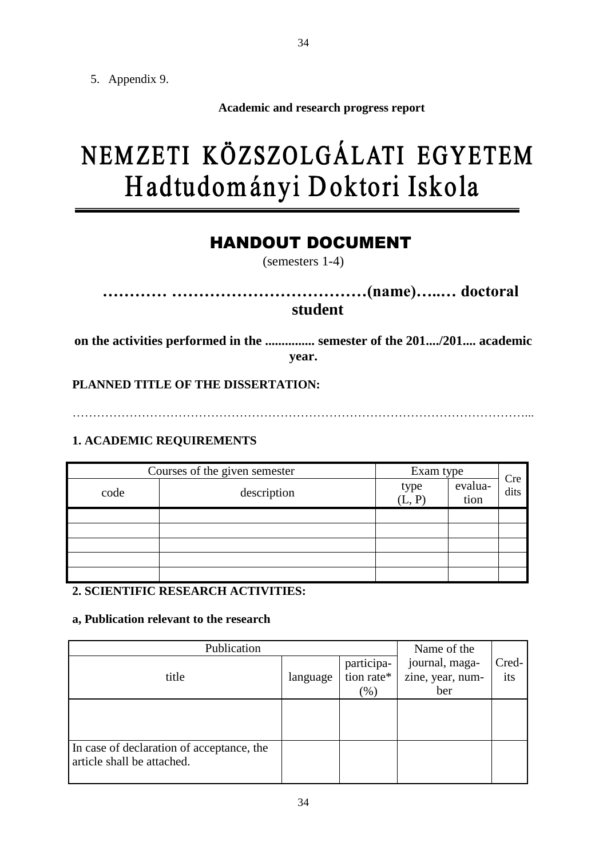5. Appendix 9.

**Academic and research progress report**

## NEMZETI KÖZSZOLGÁLATI EGYETEM Hadtudományi Doktori Iskola

### HANDOUT DOCUMENT

(semesters 1-4)

**………… ………………………………(name)…..… doctoral student**

**on the activities performed in the ............... semester of the 201..../201.... academic year.**

**PLANNED TITLE OF THE DISSERTATION:**

…………………………………………………………………………………………………...

### **1. ACADEMIC REQUIREMENTS**

|      | Courses of the given semester | Exam type      |                 |             |
|------|-------------------------------|----------------|-----------------|-------------|
| code | description                   | type<br>(L, P) | evalua-<br>tion | Cre<br>dits |
|      |                               |                |                 |             |
|      |                               |                |                 |             |
|      |                               |                |                 |             |
|      |                               |                |                 |             |
|      |                               |                |                 |             |

### **2. SCIENTIFIC RESEARCH ACTIVITIES:**

### **a, Publication relevant to the research**

| Publication                                                             |          |                                     | Name of the                               |              |
|-------------------------------------------------------------------------|----------|-------------------------------------|-------------------------------------------|--------------|
| title                                                                   | language | participa-<br>tion rate*<br>$(\% )$ | journal, maga-<br>zine, year, num-<br>ber | Cred-<br>its |
|                                                                         |          |                                     |                                           |              |
| In case of declaration of acceptance, the<br>article shall be attached. |          |                                     |                                           |              |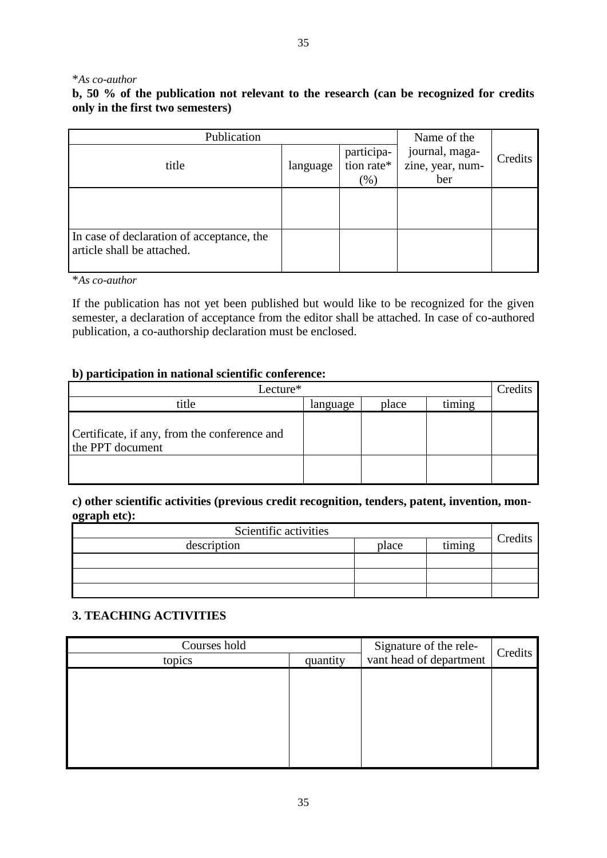### \**As co-author*

### **b, 50 % of the publication not relevant to the research (can be recognized for credits only in the first two semesters)**

| Publication                                                             |          |                                    | Name of the                               |         |
|-------------------------------------------------------------------------|----------|------------------------------------|-------------------------------------------|---------|
| title                                                                   | language | participa-<br>tion rate*<br>$(\%)$ | journal, maga-<br>zine, year, num-<br>ber | Credits |
|                                                                         |          |                                    |                                           |         |
| In case of declaration of acceptance, the<br>article shall be attached. |          |                                    |                                           |         |

\**As co-author*

If the publication has not yet been published but would like to be recognized for the given semester, a declaration of acceptance from the editor shall be attached. In case of co-authored publication, a co-authorship declaration must be enclosed.

### **b) participation in national scientific conference:**

| Lecture*                                                         |          |       |        |  |
|------------------------------------------------------------------|----------|-------|--------|--|
| title                                                            | language | place | timing |  |
| Certificate, if any, from the conference and<br>the PPT document |          |       |        |  |
|                                                                  |          |       |        |  |

**c) other scientific activities (previous credit recognition, tenders, patent, invention, monograph etc):**

| Scientific activities |       |        |         |
|-----------------------|-------|--------|---------|
| description           | place | timing | Credits |
|                       |       |        |         |
|                       |       |        |         |
|                       |       |        |         |

### **3. TEACHING ACTIVITIES**

| Courses hold<br>topics | quantity | Signature of the rele-<br>vant head of department | Credits |
|------------------------|----------|---------------------------------------------------|---------|
|                        |          |                                                   |         |
|                        |          |                                                   |         |
|                        |          |                                                   |         |
|                        |          |                                                   |         |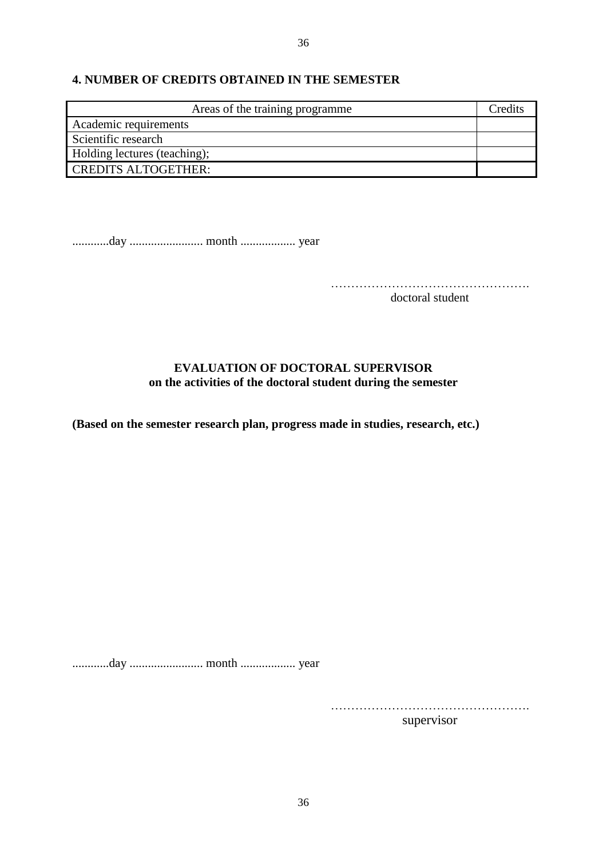### **4. NUMBER OF CREDITS OBTAINED IN THE SEMESTER**

| Areas of the training programme | Credits |
|---------------------------------|---------|
| Academic requirements           |         |
| Scientific research             |         |
| Holding lectures (teaching);    |         |
| <b>CREDITS ALTOGETHER:</b>      |         |

............day ........................ month .................. year

…………………………………………. doctoral student

### **EVALUATION OF DOCTORAL SUPERVISOR on the activities of the doctoral student during the semester**

**(Based on the semester research plan, progress made in studies, research, etc.)**

............day ........................ month .................. year

………………………………………….

supervisor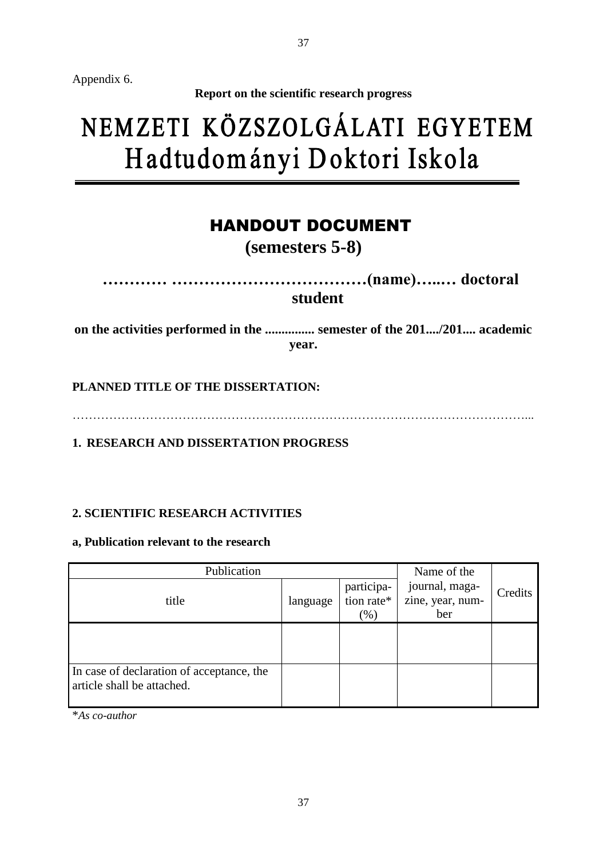Appendix 6.

**Report on the scientific research progress**

## NEMZETI KÖZSZOLGÁLATI EGYETEM Hadtudományi Doktori Iskola

### HANDOUT DOCUMENT

**(semesters 5-8)**

**………… ………………………………(name)…..… doctoral student**

**on the activities performed in the ............... semester of the 201..../201.... academic year.**

**PLANNED TITLE OF THE DISSERTATION:**

…………………………………………………………………………………………………...

**1. RESEARCH AND DISSERTATION PROGRESS**

### **2. SCIENTIFIC RESEARCH ACTIVITIES**

**a, Publication relevant to the research**

| Publication                                                             |          |                                                    | Name of the                               |         |
|-------------------------------------------------------------------------|----------|----------------------------------------------------|-------------------------------------------|---------|
| title                                                                   | language | participa-<br>$\frac{1}{\pi}$ tion rate*<br>$(\%)$ | journal, maga-<br>zine, year, num-<br>ber | Credits |
|                                                                         |          |                                                    |                                           |         |
| In case of declaration of acceptance, the<br>article shall be attached. |          |                                                    |                                           |         |

\**As co-author*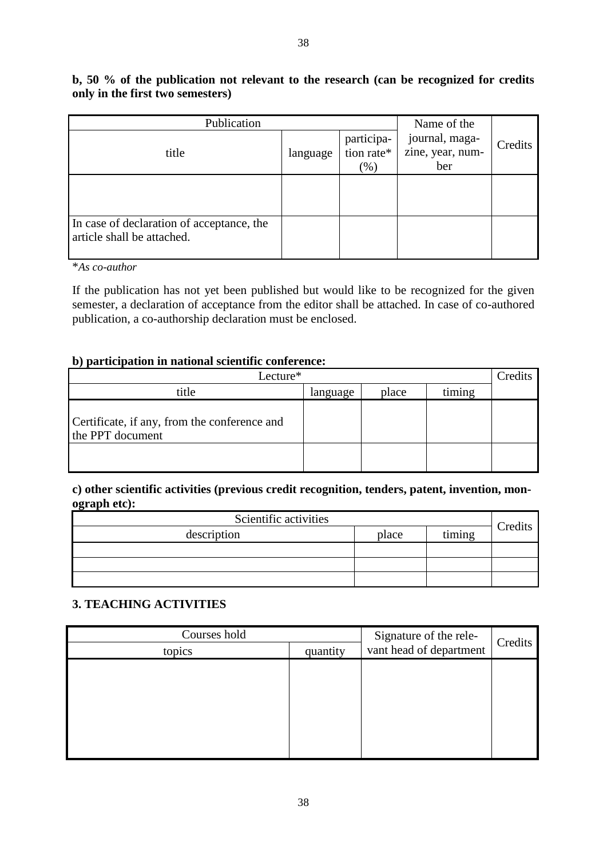### **b, 50 % of the publication not relevant to the research (can be recognized for credits only in the first two semesters)**

| Publication                                                             | Name of the |                                    |                                           |         |
|-------------------------------------------------------------------------|-------------|------------------------------------|-------------------------------------------|---------|
| title                                                                   | language    | participa-<br>tion rate*<br>$(\%)$ | journal, maga-<br>zine, year, num-<br>ber | Credits |
|                                                                         |             |                                    |                                           |         |
| In case of declaration of acceptance, the<br>article shall be attached. |             |                                    |                                           |         |

\**As co-author*

If the publication has not yet been published but would like to be recognized for the given semester, a declaration of acceptance from the editor shall be attached. In case of co-authored publication, a co-authorship declaration must be enclosed.

### **b) participation in national scientific conference:**

| Lecture*                                                         |          |       |        | Credits |
|------------------------------------------------------------------|----------|-------|--------|---------|
| title                                                            | language | place | timing |         |
| Certificate, if any, from the conference and<br>the PPT document |          |       |        |         |
|                                                                  |          |       |        |         |

### **c) other scientific activities (previous credit recognition, tenders, patent, invention, monograph etc):**

| Scientific activities |       |        |         |
|-----------------------|-------|--------|---------|
| description           | place | timing | Credits |
|                       |       |        |         |
|                       |       |        |         |
|                       |       |        |         |

### **3. TEACHING ACTIVITIES**

| Courses hold<br>topics | quantity | Signature of the rele-<br>vant head of department | Credits |
|------------------------|----------|---------------------------------------------------|---------|
|                        |          |                                                   |         |
|                        |          |                                                   |         |
|                        |          |                                                   |         |
|                        |          |                                                   |         |